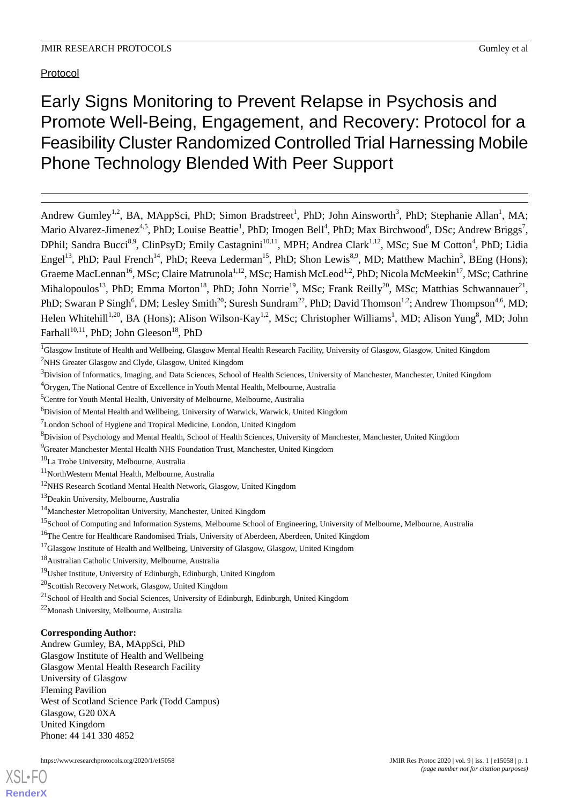# Protocol

Early Signs Monitoring to Prevent Relapse in Psychosis and Promote Well-Being, Engagement, and Recovery: Protocol for a Feasibility Cluster Randomized Controlled Trial Harnessing Mobile Phone Technology Blended With Peer Support

Andrew Gumley<sup>1,2</sup>, BA, MAppSci, PhD; Simon Bradstreet<sup>1</sup>, PhD; John Ainsworth<sup>3</sup>, PhD; Stephanie Allan<sup>1</sup>, MA; Mario Alvarez-Jimenez<sup>4,5</sup>, PhD; Louise Beattie<sup>1</sup>, PhD; Imogen Bell<sup>4</sup>, PhD; Max Birchwood<sup>6</sup>, DSc; Andrew Briggs<sup>7</sup>, DPhil; Sandra Bucci<sup>8,9</sup>, ClinPsyD; Emily Castagnini<sup>10,11</sup>, MPH; Andrea Clark<sup>1,12</sup>, MSc; Sue M Cotton<sup>4</sup>, PhD; Lidia Engel<sup>13</sup>, PhD; Paul French<sup>14</sup>, PhD; Reeva Lederman<sup>15</sup>, PhD; Shon Lewis<sup>8,9</sup>, MD; Matthew Machin<sup>3</sup>, BEng (Hons); Graeme MacLennan<sup>16</sup>, MSc; Claire Matrunola<sup>1,12</sup>, MSc; Hamish McLeod<sup>1,2</sup>, PhD; Nicola McMeekin<sup>17</sup>, MSc; Cathrine Mihalopoulos<sup>13</sup>, PhD; Emma Morton<sup>18</sup>, PhD; John Norrie<sup>19</sup>, MSc; Frank Reilly<sup>20</sup>, MSc; Matthias Schwannauer<sup>21</sup>, PhD; Swaran P Singh<sup>6</sup>, DM; Lesley Smith<sup>20</sup>; Suresh Sundram<sup>22</sup>, PhD; David Thomson<sup>1,2</sup>; Andrew Thompson<sup>4,6</sup>, MD; Helen Whitehill<sup>1,20</sup>, BA (Hons); Alison Wilson-Kay<sup>1,2</sup>, MSc; Christopher Williams<sup>1</sup>, MD; Alison Yung<sup>8</sup>, MD; John Farhall<sup>10,11</sup>, PhD; John Gleeson<sup>18</sup>, PhD

<sup>9</sup>Greater Manchester Mental Health NHS Foundation Trust, Manchester, United Kingdom

 $10$ La Trobe University, Melbourne, Australia

- <sup>12</sup>NHS Research Scotland Mental Health Network, Glasgow, United Kingdom
- <sup>13</sup>Deakin University, Melbourne, Australia

<sup>22</sup>Monash University, Melbourne, Australia

## **Corresponding Author:**

Andrew Gumley, BA, MAppSci, PhD Glasgow Institute of Health and Wellbeing Glasgow Mental Health Research Facility University of Glasgow Fleming Pavilion West of Scotland Science Park (Todd Campus) Glasgow, G20 0XA United Kingdom Phone: 44 141 330 4852

<sup>&</sup>lt;sup>1</sup>Glasgow Institute of Health and Wellbeing, Glasgow Mental Health Research Facility, University of Glasgow, Glasgow, United Kingdom <sup>2</sup>NHS Greater Glasgow and Clyde, Glasgow, United Kingdom

 $3$ Division of Informatics, Imaging, and Data Sciences, School of Health Sciences, University of Manchester, Manchester, United Kingdom

<sup>4</sup>Orygen, The National Centre of Excellence in Youth Mental Health, Melbourne, Australia

<sup>&</sup>lt;sup>5</sup>Centre for Youth Mental Health, University of Melbourne, Melbourne, Australia

<sup>6</sup>Division of Mental Health and Wellbeing, University of Warwick, Warwick, United Kingdom

<sup>7</sup>London School of Hygiene and Tropical Medicine, London, United Kingdom

<sup>8</sup>Division of Psychology and Mental Health, School of Health Sciences, University of Manchester, Manchester, United Kingdom

<sup>11</sup>NorthWestern Mental Health, Melbourne, Australia

<sup>14</sup>Manchester Metropolitan University, Manchester, United Kingdom

<sup>&</sup>lt;sup>15</sup>School of Computing and Information Systems, Melbourne School of Engineering, University of Melbourne, Melbourne, Australia

<sup>&</sup>lt;sup>16</sup>The Centre for Healthcare Randomised Trials, University of Aberdeen, Aberdeen, United Kingdom

<sup>&</sup>lt;sup>17</sup>Glasgow Institute of Health and Wellbeing, University of Glasgow, Glasgow, United Kingdom

<sup>18</sup>Australian Catholic University, Melbourne, Australia

<sup>19</sup>Usher Institute, University of Edinburgh, Edinburgh, United Kingdom

<sup>20</sup>Scottish Recovery Network, Glasgow, United Kingdom

<sup>&</sup>lt;sup>21</sup>School of Health and Social Sciences, University of Edinburgh, Edinburgh, United Kingdom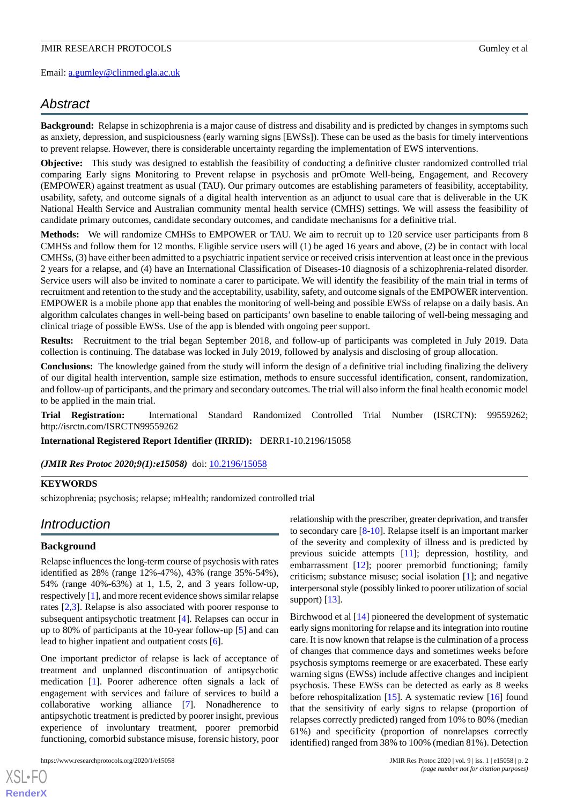# *Abstract*

**Background:** Relapse in schizophrenia is a major cause of distress and disability and is predicted by changes in symptoms such as anxiety, depression, and suspiciousness (early warning signs [EWSs]). These can be used as the basis for timely interventions to prevent relapse. However, there is considerable uncertainty regarding the implementation of EWS interventions.

**Objective:** This study was designed to establish the feasibility of conducting a definitive cluster randomized controlled trial comparing Early signs Monitoring to Prevent relapse in psychosis and prOmote Well-being, Engagement, and Recovery (EMPOWER) against treatment as usual (TAU). Our primary outcomes are establishing parameters of feasibility, acceptability, usability, safety, and outcome signals of a digital health intervention as an adjunct to usual care that is deliverable in the UK National Health Service and Australian community mental health service (CMHS) settings. We will assess the feasibility of candidate primary outcomes, candidate secondary outcomes, and candidate mechanisms for a definitive trial.

**Methods:** We will randomize CMHSs to EMPOWER or TAU. We aim to recruit up to 120 service user participants from 8 CMHSs and follow them for 12 months. Eligible service users will (1) be aged 16 years and above, (2) be in contact with local CMHSs, (3) have either been admitted to a psychiatric inpatient service or received crisis intervention at least once in the previous 2 years for a relapse, and (4) have an International Classification of Diseases-10 diagnosis of a schizophrenia-related disorder. Service users will also be invited to nominate a carer to participate. We will identify the feasibility of the main trial in terms of recruitment and retention to the study and the acceptability, usability, safety, and outcome signals of the EMPOWER intervention. EMPOWER is a mobile phone app that enables the monitoring of well-being and possible EWSs of relapse on a daily basis. An algorithm calculates changes in well-being based on participants' own baseline to enable tailoring of well-being messaging and clinical triage of possible EWSs. Use of the app is blended with ongoing peer support.

**Results:** Recruitment to the trial began September 2018, and follow-up of participants was completed in July 2019. Data collection is continuing. The database was locked in July 2019, followed by analysis and disclosing of group allocation.

**Conclusions:** The knowledge gained from the study will inform the design of a definitive trial including finalizing the delivery of our digital health intervention, sample size estimation, methods to ensure successful identification, consent, randomization, and follow-up of participants, and the primary and secondary outcomes. The trial will also inform the final health economic model to be applied in the main trial.

**Trial Registration:** International Standard Randomized Controlled Trial Number (ISRCTN): 99559262; http://isrctn.com/ISRCTN99559262

**International Registered Report Identifier (IRRID):** DERR1-10.2196/15058

*(JMIR Res Protoc 2020;9(1):e15058)* doi: [10.2196/15058](http://dx.doi.org/10.2196/15058)

## **KEYWORDS**

schizophrenia; psychosis; relapse; mHealth; randomized controlled trial

# *Introduction*

## **Background**

Relapse influences the long-term course of psychosis with rates identified as 28% (range 12%-47%), 43% (range 35%-54%), 54% (range 40%-63%) at 1, 1.5, 2, and 3 years follow-up, respectively [[1\]](#page-14-0), and more recent evidence shows similar relapse rates [[2,](#page-14-1)[3](#page-14-2)]. Relapse is also associated with poorer response to subsequent antipsychotic treatment [[4\]](#page-14-3). Relapses can occur in up to 80% of participants at the 10-year follow-up [[5\]](#page-14-4) and can lead to higher inpatient and outpatient costs [[6\]](#page-14-5).

One important predictor of relapse is lack of acceptance of treatment and unplanned discontinuation of antipsychotic medication [[1\]](#page-14-0). Poorer adherence often signals a lack of engagement with services and failure of services to build a collaborative working alliance [[7\]](#page-14-6). Nonadherence to antipsychotic treatment is predicted by poorer insight, previous experience of involuntary treatment, poorer premorbid functioning, comorbid substance misuse, forensic history, poor

relationship with the prescriber, greater deprivation, and transfer to secondary care [\[8](#page-14-7)-[10\]](#page-14-8). Relapse itself is an important marker of the severity and complexity of illness and is predicted by previous suicide attempts [[11\]](#page-14-9); depression, hostility, and embarrassment [[12\]](#page-14-10); poorer premorbid functioning; family criticism; substance misuse; social isolation [[1\]](#page-14-0); and negative interpersonal style (possibly linked to poorer utilization of social support)  $[13]$  $[13]$ .

Birchwood et al [\[14](#page-14-12)] pioneered the development of systematic early signs monitoring for relapse and its integration into routine care. It is now known that relapse is the culmination of a process of changes that commence days and sometimes weeks before psychosis symptoms reemerge or are exacerbated. These early warning signs (EWSs) include affective changes and incipient psychosis. These EWSs can be detected as early as 8 weeks before rehospitalization [[15\]](#page-14-13). A systematic review [[16\]](#page-15-0) found that the sensitivity of early signs to relapse (proportion of relapses correctly predicted) ranged from 10% to 80% (median 61%) and specificity (proportion of nonrelapses correctly identified) ranged from 38% to 100% (median 81%). Detection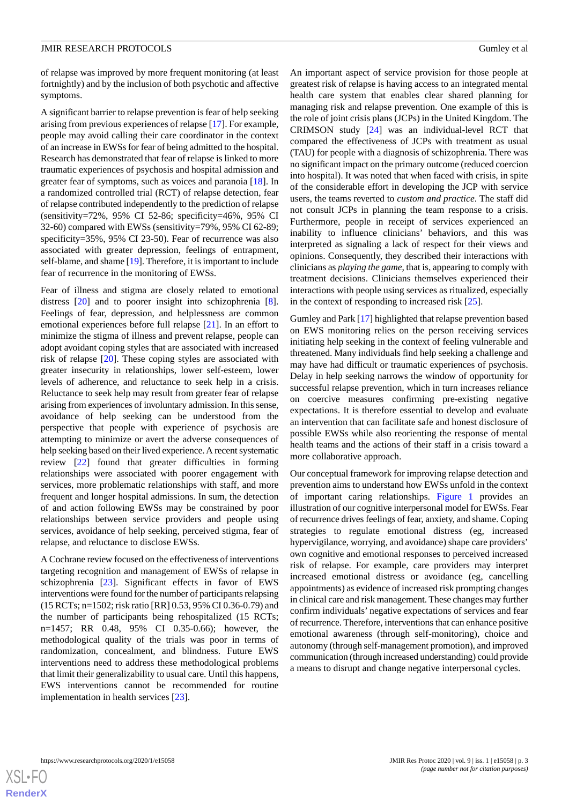of relapse was improved by more frequent monitoring (at least fortnightly) and by the inclusion of both psychotic and affective symptoms.

A significant barrier to relapse prevention is fear of help seeking arising from previous experiences of relapse [[17\]](#page-15-1). For example, people may avoid calling their care coordinator in the context of an increase in EWSs for fear of being admitted to the hospital. Research has demonstrated that fear of relapse is linked to more traumatic experiences of psychosis and hospital admission and greater fear of symptoms, such as voices and paranoia [[18\]](#page-15-2). In a randomized controlled trial (RCT) of relapse detection, fear of relapse contributed independently to the prediction of relapse (sensitivity=72%, 95% CI 52-86; specificity=46%, 95% CI 32-60) compared with EWSs (sensitivity=79%, 95% CI 62-89; specificity=35%, 95% CI 23-50). Fear of recurrence was also associated with greater depression, feelings of entrapment, self-blame, and shame [[19](#page-15-3)]. Therefore, it is important to include fear of recurrence in the monitoring of EWSs.

Fear of illness and stigma are closely related to emotional distress [\[20](#page-15-4)] and to poorer insight into schizophrenia [[8\]](#page-14-7). Feelings of fear, depression, and helplessness are common emotional experiences before full relapse [\[21](#page-15-5)]. In an effort to minimize the stigma of illness and prevent relapse, people can adopt avoidant coping styles that are associated with increased risk of relapse [[20\]](#page-15-4). These coping styles are associated with greater insecurity in relationships, lower self-esteem, lower levels of adherence, and reluctance to seek help in a crisis. Reluctance to seek help may result from greater fear of relapse arising from experiences of involuntary admission. In this sense, avoidance of help seeking can be understood from the perspective that people with experience of psychosis are attempting to minimize or avert the adverse consequences of help seeking based on their lived experience. A recent systematic review [[22\]](#page-15-6) found that greater difficulties in forming relationships were associated with poorer engagement with services, more problematic relationships with staff, and more frequent and longer hospital admissions. In sum, the detection of and action following EWSs may be constrained by poor relationships between service providers and people using services, avoidance of help seeking, perceived stigma, fear of relapse, and reluctance to disclose EWSs.

A Cochrane review focused on the effectiveness of interventions targeting recognition and management of EWSs of relapse in schizophrenia [\[23](#page-15-7)]. Significant effects in favor of EWS interventions were found for the number of participants relapsing (15 RCTs; n=1502; risk ratio [RR] 0.53, 95% CI 0.36-0.79) and the number of participants being rehospitalized (15 RCTs; n=1457; RR 0.48, 95% CI 0.35-0.66); however, the methodological quality of the trials was poor in terms of randomization, concealment, and blindness. Future EWS interventions need to address these methodological problems that limit their generalizability to usual care. Until this happens, EWS interventions cannot be recommended for routine implementation in health services [\[23](#page-15-7)].

An important aspect of service provision for those people at greatest risk of relapse is having access to an integrated mental health care system that enables clear shared planning for managing risk and relapse prevention. One example of this is the role of joint crisis plans (JCPs) in the United Kingdom. The CRIMSON study [\[24](#page-15-8)] was an individual-level RCT that compared the effectiveness of JCPs with treatment as usual (TAU) for people with a diagnosis of schizophrenia. There was no significant impact on the primary outcome (reduced coercion into hospital). It was noted that when faced with crisis, in spite of the considerable effort in developing the JCP with service users, the teams reverted to *custom and practice*. The staff did not consult JCPs in planning the team response to a crisis. Furthermore, people in receipt of services experienced an inability to influence clinicians' behaviors, and this was interpreted as signaling a lack of respect for their views and opinions. Consequently, they described their interactions with clinicians as *playing the game*, that is, appearing to comply with treatment decisions. Clinicians themselves experienced their interactions with people using services as ritualized, especially in the context of responding to increased risk  $[25]$  $[25]$ .

Gumley and Park [\[17\]](#page-15-1) highlighted that relapse prevention based on EWS monitoring relies on the person receiving services initiating help seeking in the context of feeling vulnerable and threatened. Many individuals find help seeking a challenge and may have had difficult or traumatic experiences of psychosis. Delay in help seeking narrows the window of opportunity for successful relapse prevention, which in turn increases reliance on coercive measures confirming pre-existing negative expectations. It is therefore essential to develop and evaluate an intervention that can facilitate safe and honest disclosure of possible EWSs while also reorienting the response of mental health teams and the actions of their staff in a crisis toward a more collaborative approach.

Our conceptual framework for improving relapse detection and prevention aims to understand how EWSs unfold in the context of important caring relationships. [Figure 1](#page-3-0) provides an illustration of our cognitive interpersonal model for EWSs. Fear of recurrence drives feelings of fear, anxiety, and shame. Coping strategies to regulate emotional distress (eg, increased hypervigilance, worrying, and avoidance) shape care providers' own cognitive and emotional responses to perceived increased risk of relapse. For example, care providers may interpret increased emotional distress or avoidance (eg, cancelling appointments) as evidence of increased risk prompting changes in clinical care and risk management. These changes may further confirm individuals' negative expectations of services and fear of recurrence. Therefore, interventions that can enhance positive emotional awareness (through self-monitoring), choice and autonomy (through self-management promotion), and improved communication (through increased understanding) could provide a means to disrupt and change negative interpersonal cycles.

 $XS$ -FO **[RenderX](http://www.renderx.com/)**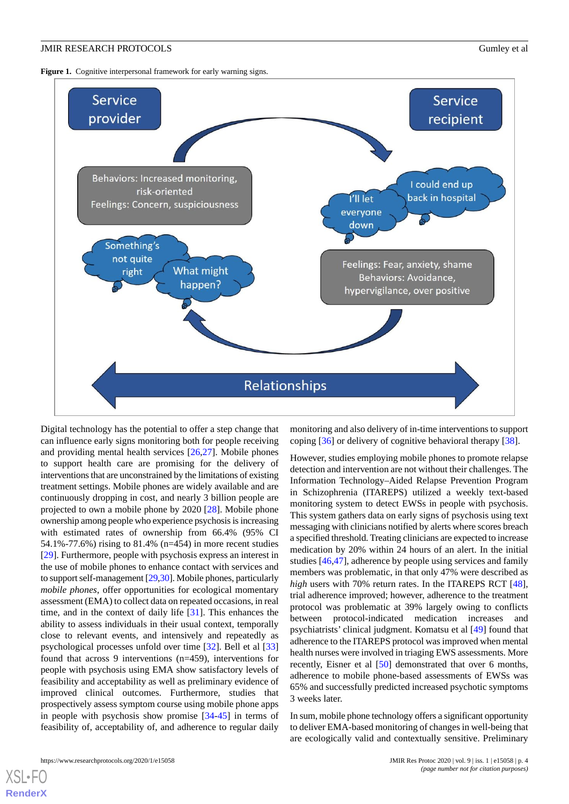<span id="page-3-0"></span>Figure 1. Cognitive interpersonal framework for early warning signs.



Digital technology has the potential to offer a step change that can influence early signs monitoring both for people receiving and providing mental health services [[26,](#page-15-10)[27\]](#page-15-11). Mobile phones to support health care are promising for the delivery of interventions that are unconstrained by the limitations of existing treatment settings. Mobile phones are widely available and are continuously dropping in cost, and nearly 3 billion people are projected to own a mobile phone by 2020 [[28\]](#page-15-12). Mobile phone ownership among people who experience psychosis is increasing with estimated rates of ownership from 66.4% (95% CI 54.1%-77.6%) rising to 81.4% (n=454) in more recent studies [[29\]](#page-15-13). Furthermore, people with psychosis express an interest in the use of mobile phones to enhance contact with services and to support self-management [\[29](#page-15-13),[30](#page-15-14)]. Mobile phones, particularly *mobile phones*, offer opportunities for ecological momentary assessment (EMA) to collect data on repeated occasions, in real time, and in the context of daily life [\[31](#page-15-15)]. This enhances the ability to assess individuals in their usual context, temporally close to relevant events, and intensively and repeatedly as psychological processes unfold over time [\[32](#page-15-16)]. Bell et al [\[33](#page-15-17)] found that across 9 interventions (n=459), interventions for people with psychosis using EMA show satisfactory levels of feasibility and acceptability as well as preliminary evidence of improved clinical outcomes. Furthermore, studies that prospectively assess symptom course using mobile phone apps in people with psychosis show promise [\[34](#page-15-18)-[45\]](#page-16-0) in terms of feasibility of, acceptability of, and adherence to regular daily

monitoring and also delivery of in-time interventions to support coping [[36\]](#page-15-19) or delivery of cognitive behavioral therapy [[38\]](#page-16-1).

However, studies employing mobile phones to promote relapse detection and intervention are not without their challenges. The Information Technology–Aided Relapse Prevention Program in Schizophrenia (ITAREPS) utilized a weekly text-based monitoring system to detect EWSs in people with psychosis. This system gathers data on early signs of psychosis using text messaging with clinicians notified by alerts where scores breach a specified threshold. Treating clinicians are expected to increase medication by 20% within 24 hours of an alert. In the initial studies [\[46](#page-16-2),[47\]](#page-16-3), adherence by people using services and family members was problematic, in that only 47% were described as *high* users with 70% return rates. In the ITAREPS RCT [[48\]](#page-16-4), trial adherence improved; however, adherence to the treatment protocol was problematic at 39% largely owing to conflicts between protocol-indicated medication increases and psychiatrists' clinical judgment. Komatsu et al [[49\]](#page-16-5) found that adherence to the ITAREPS protocol was improved when mental health nurses were involved in triaging EWS assessments. More recently, Eisner et al [[50\]](#page-16-6) demonstrated that over 6 months, adherence to mobile phone-based assessments of EWSs was 65% and successfully predicted increased psychotic symptoms 3 weeks later.

In sum, mobile phone technology offers a significant opportunity to deliver EMA-based monitoring of changes in well-being that are ecologically valid and contextually sensitive. Preliminary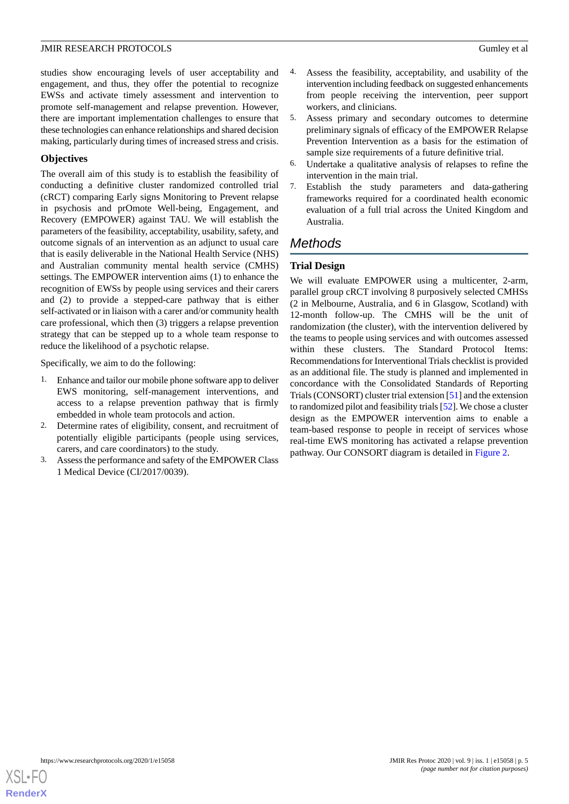studies show encouraging levels of user acceptability and engagement, and thus, they offer the potential to recognize EWSs and activate timely assessment and intervention to promote self-management and relapse prevention. However, there are important implementation challenges to ensure that these technologies can enhance relationships and shared decision making, particularly during times of increased stress and crisis.

# **Objectives**

The overall aim of this study is to establish the feasibility of conducting a definitive cluster randomized controlled trial (cRCT) comparing Early signs Monitoring to Prevent relapse in psychosis and prOmote Well-being, Engagement, and Recovery (EMPOWER) against TAU. We will establish the parameters of the feasibility, acceptability, usability, safety, and outcome signals of an intervention as an adjunct to usual care that is easily deliverable in the National Health Service (NHS) and Australian community mental health service (CMHS) settings. The EMPOWER intervention aims (1) to enhance the recognition of EWSs by people using services and their carers and (2) to provide a stepped-care pathway that is either self-activated or in liaison with a carer and/or community health care professional, which then (3) triggers a relapse prevention strategy that can be stepped up to a whole team response to reduce the likelihood of a psychotic relapse.

Specifically, we aim to do the following:

- 1. Enhance and tailor our mobile phone software app to deliver EWS monitoring, self-management interventions, and access to a relapse prevention pathway that is firmly embedded in whole team protocols and action.
- 2. Determine rates of eligibility, consent, and recruitment of potentially eligible participants (people using services, carers, and care coordinators) to the study.
- 3. Assess the performance and safety of the EMPOWER Class 1 Medical Device (CI/2017/0039).
- 4. Assess the feasibility, acceptability, and usability of the intervention including feedback on suggested enhancements from people receiving the intervention, peer support workers, and clinicians.
- 5. Assess primary and secondary outcomes to determine preliminary signals of efficacy of the EMPOWER Relapse Prevention Intervention as a basis for the estimation of sample size requirements of a future definitive trial.
- 6. Undertake a qualitative analysis of relapses to refine the intervention in the main trial.
- 7. Establish the study parameters and data-gathering frameworks required for a coordinated health economic evaluation of a full trial across the United Kingdom and Australia.

# *Methods*

# **Trial Design**

We will evaluate EMPOWER using a multicenter, 2-arm, parallel group cRCT involving 8 purposively selected CMHSs (2 in Melbourne, Australia, and 6 in Glasgow, Scotland) with 12-month follow-up. The CMHS will be the unit of randomization (the cluster), with the intervention delivered by the teams to people using services and with outcomes assessed within these clusters. The Standard Protocol Items: Recommendations for Interventional Trials checklist is provided as an additional file. The study is planned and implemented in concordance with the Consolidated Standards of Reporting Trials (CONSORT) cluster trial extension [\[51](#page-16-7)] and the extension to randomized pilot and feasibility trials [[52\]](#page-16-8). We chose a cluster design as the EMPOWER intervention aims to enable a team-based response to people in receipt of services whose real-time EWS monitoring has activated a relapse prevention pathway. Our CONSORT diagram is detailed in [Figure 2.](#page-5-0)

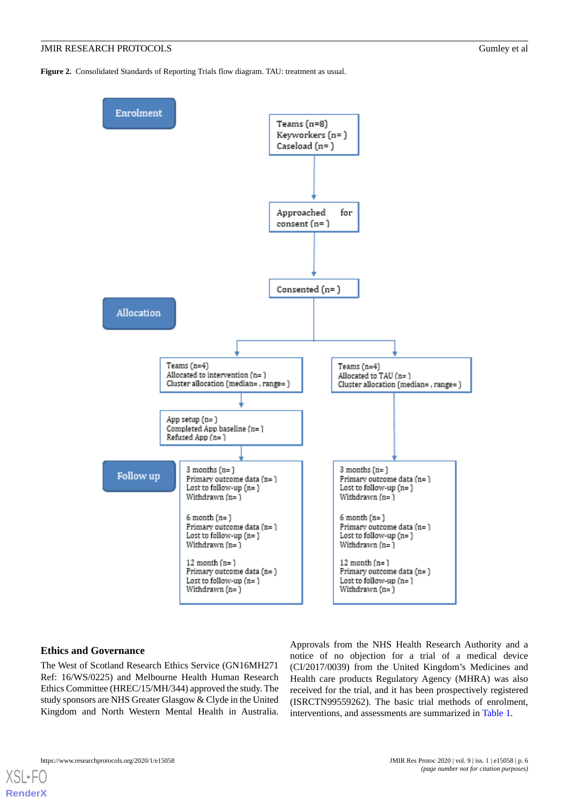<span id="page-5-0"></span>**Figure 2.** Consolidated Standards of Reporting Trials flow diagram. TAU: treatment as usual.



## **Ethics and Governance**

The West of Scotland Research Ethics Service (GN16MH271 Ref: 16/WS/0225) and Melbourne Health Human Research Ethics Committee (HREC/15/MH/344) approved the study. The study sponsors are NHS Greater Glasgow & Clyde in the United Kingdom and North Western Mental Health in Australia.

Approvals from the NHS Health Research Authority and a notice of no objection for a trial of a medical device (CI/2017/0039) from the United Kingdom's Medicines and Health care products Regulatory Agency (MHRA) was also received for the trial, and it has been prospectively registered (ISRCTN99559262). The basic trial methods of enrolment, interventions, and assessments are summarized in [Table 1](#page-6-0).



 $XS$  • FO **[RenderX](http://www.renderx.com/)**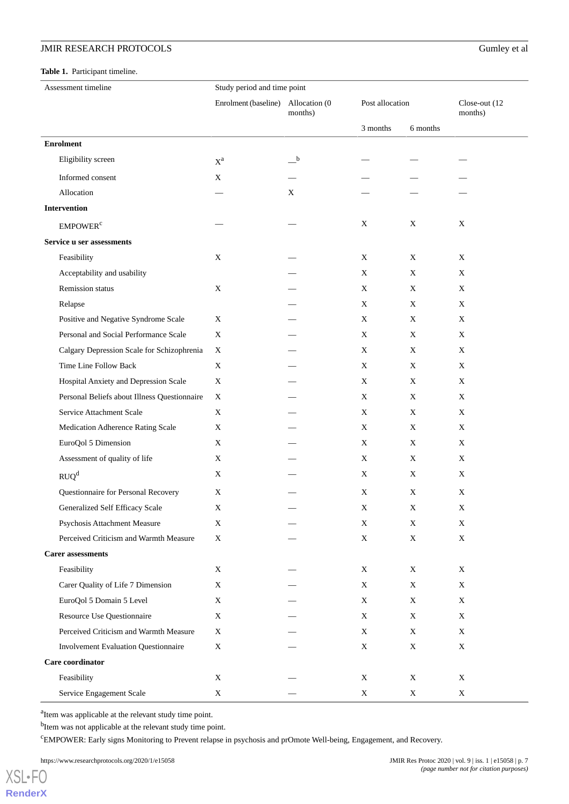# <span id="page-6-0"></span>**Table 1.** Participant timeline.

| Assessment timeline                          | Study period and time point |                          |                 |             |                          |
|----------------------------------------------|-----------------------------|--------------------------|-----------------|-------------|--------------------------|
|                                              | Enrolment (baseline)        | Allocation (0<br>months) | Post allocation |             | Close-out (12<br>months) |
|                                              |                             |                          | 3 months        | 6 months    |                          |
| <b>Enrolment</b>                             |                             |                          |                 |             |                          |
| Eligibility screen                           | $\mathbf{X}^\textnormal{a}$ | $_{\rm b}$               |                 |             |                          |
| Informed consent                             | X                           |                          |                 |             |                          |
| Allocation                                   |                             | Χ                        |                 |             |                          |
| Intervention                                 |                             |                          |                 |             |                          |
| <b>EMPOWER</b> <sup>c</sup>                  |                             |                          | X               | X           | $\mathbf X$              |
| Service u ser assessments                    |                             |                          |                 |             |                          |
| Feasibility                                  | X                           |                          | X               | X           | X                        |
| Acceptability and usability                  |                             |                          | X               | X           | X                        |
| <b>Remission</b> status                      | X                           |                          | X               | X           | X                        |
| Relapse                                      |                             |                          | $\mathbf X$     | $\mathbf X$ | X                        |
| Positive and Negative Syndrome Scale         | X                           |                          | X               | X           | X                        |
| Personal and Social Performance Scale        | X                           |                          | X               | X           | X                        |
| Calgary Depression Scale for Schizophrenia   | X                           |                          | X               | X           | X                        |
| Time Line Follow Back                        | X                           |                          | X               | X           | X                        |
| Hospital Anxiety and Depression Scale        | X                           |                          | X               | X           | X                        |
| Personal Beliefs about Illness Questionnaire | X                           |                          | X               | X           | X                        |
| Service Attachment Scale                     | X                           |                          | X               | X           | X                        |
| Medication Adherence Rating Scale            | X                           |                          | X               | X           | X                        |
| EuroQol 5 Dimension                          | X                           |                          | X               | X           | X                        |
| Assessment of quality of life                | X                           |                          | X               | X           | X                        |
| RUQ <sup>d</sup>                             | $\mathbf X$                 |                          | X               | X           | X                        |
| Questionnaire for Personal Recovery          | X                           |                          | X               | X           | X                        |
| Generalized Self Efficacy Scale              | X                           |                          | $\mathbf X$     | X           | $\mathbf X$              |
| Psychosis Attachment Measure                 | X                           |                          | X               | X           | $\mathbf X$              |
| Perceived Criticism and Warmth Measure       | X                           |                          | $\mathbf X$     | $\mathbf X$ | X                        |
| <b>Carer assessments</b>                     |                             |                          |                 |             |                          |
| Feasibility                                  | X                           |                          | X               | X           | X                        |
| Carer Quality of Life 7 Dimension            | X                           |                          | X               | X           | X                        |
| EuroQol 5 Domain 5 Level                     | X                           |                          | X               | X           | X                        |
| Resource Use Questionnaire                   | X                           |                          | X               | X           | X                        |
| Perceived Criticism and Warmth Measure       | X                           |                          | X               | X           | $\mathbf X$              |
| <b>Involvement Evaluation Questionnaire</b>  | X                           |                          | X               | X           | X                        |
| Care coordinator                             |                             |                          |                 |             |                          |
| Feasibility                                  | X                           |                          | X               | X           | X                        |
| Service Engagement Scale                     | X                           |                          | X               | X           | X                        |

<sup>a</sup>Item was applicable at the relevant study time point.

<sup>b</sup>Item was not applicable at the relevant study time point.

<sup>c</sup>EMPOWER: Early signs Monitoring to Prevent relapse in psychosis and prOmote Well-being, Engagement, and Recovery.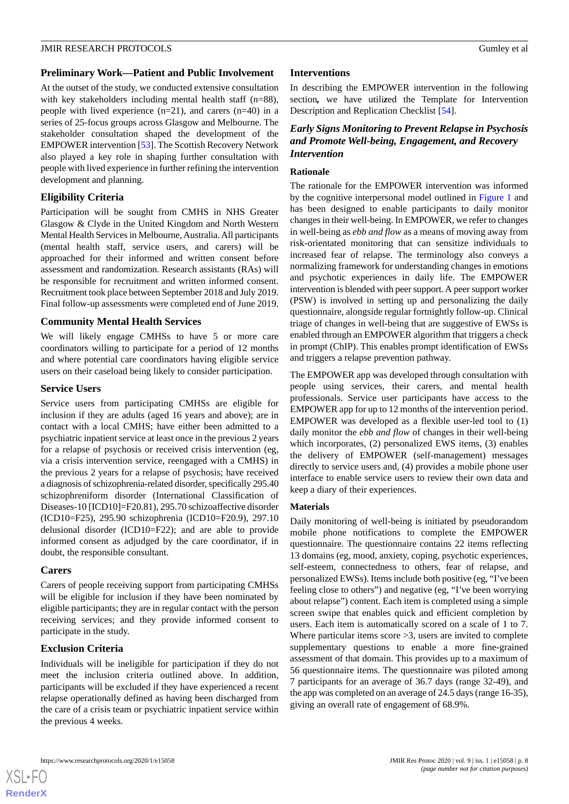## **Preliminary Work—Patient and Public Involvement**

At the outset of the study, we conducted extensive consultation with key stakeholders including mental health staff (n=88), people with lived experience  $(n=21)$ , and carers  $(n=40)$  in a series of 25-focus groups across Glasgow and Melbourne. The stakeholder consultation shaped the development of the EMPOWER intervention [[53\]](#page-16-9). The Scottish Recovery Network also played a key role in shaping further consultation with people with lived experience in further refining the intervention development and planning.

# **Eligibility Criteria**

Participation will be sought from CMHS in NHS Greater Glasgow & Clyde in the United Kingdom and North Western Mental Health Services in Melbourne, Australia. All participants (mental health staff, service users, and carers) will be approached for their informed and written consent before assessment and randomization. Research assistants (RAs) will be responsible for recruitment and written informed consent. Recruitment took place between September 2018 and July 2019. Final follow-up assessments were completed end of June 2019.

# **Community Mental Health Services**

We will likely engage CMHSs to have 5 or more care coordinators willing to participate for a period of 12 months and where potential care coordinators having eligible service users on their caseload being likely to consider participation.

## **Service Users**

Service users from participating CMHSs are eligible for inclusion if they are adults (aged 16 years and above); are in contact with a local CMHS; have either been admitted to a psychiatric inpatient service at least once in the previous 2 years for a relapse of psychosis or received crisis intervention (eg, via a crisis intervention service, reengaged with a CMHS) in the previous 2 years for a relapse of psychosis; have received a diagnosis of schizophrenia-related disorder, specifically 295.40 schizophreniform disorder (International Classification of Diseases-10 [ICD10]=F20.81), 295.70 schizoaffective disorder (ICD10=F25), 295.90 schizophrenia (ICD10=F20.9), 297.10 delusional disorder (ICD10=F22); and are able to provide informed consent as adjudged by the care coordinator, if in doubt, the responsible consultant.

# **Carers**

Carers of people receiving support from participating CMHSs will be eligible for inclusion if they have been nominated by eligible participants; they are in regular contact with the person receiving services; and they provide informed consent to participate in the study.

# **Exclusion Criteria**

Individuals will be ineligible for participation if they do not meet the inclusion criteria outlined above. In addition, participants will be excluded if they have experienced a recent relapse operationally defined as having been discharged from the care of a crisis team or psychiatric inpatient service within the previous 4 weeks.

# **Interventions**

In describing the EMPOWER intervention in the following section*,* we have utili*z*ed the Template for Intervention Description and Replication Checklist [[54\]](#page-16-10).

# *Early Signs Monitoring to Prevent Relapse in Psychosis and Promote Well-being, Engagement, and Recovery Intervention*

## **Rationale**

The rationale for the EMPOWER intervention was informed by the cognitive interpersonal model outlined in [Figure 1](#page-3-0) and has been designed to enable participants to daily monitor changes in their well-being. In EMPOWER, we refer to changes in well-being as *ebb and flow* as a means of moving away from risk-orientated monitoring that can sensitize individuals to increased fear of relapse. The terminology also conveys a normalizing framework for understanding changes in emotions and psychotic experiences in daily life. The EMPOWER intervention is blended with peer support. A peer support worker (PSW) is involved in setting up and personalizing the daily questionnaire, alongside regular fortnightly follow-up. Clinical triage of changes in well-being that are suggestive of EWSs is enabled through an EMPOWER algorithm that triggers a check in prompt (ChIP). This enables prompt identification of EWSs and triggers a relapse prevention pathway.

The EMPOWER app was developed through consultation with people using services, their carers, and mental health professionals. Service user participants have access to the EMPOWER app for up to 12 months of the intervention period. EMPOWER was developed as a flexible user-led tool to (1) daily monitor the *ebb and flow* of changes in their well-being which incorporates, (2) personalized EWS items, (3) enables the delivery of EMPOWER (self-management) messages directly to service users and, (4) provides a mobile phone user interface to enable service users to review their own data and keep a diary of their experiences.

# **Materials**

Daily monitoring of well-being is initiated by pseudorandom mobile phone notifications to complete the EMPOWER questionnaire. The questionnaire contains 22 items reflecting 13 domains (eg, mood, anxiety, coping, psychotic experiences, self-esteem, connectedness to others, fear of relapse, and personalized EWSs). Items include both positive (eg, "I've been feeling close to others") and negative (eg, "I've been worrying about relapse") content. Each item is completed using a simple screen swipe that enables quick and efficient completion by users. Each item is automatically scored on a scale of 1 to 7. Where particular items score  $>3$ , users are invited to complete supplementary questions to enable a more fine-grained assessment of that domain. This provides up to a maximum of 56 questionnaire items. The questionnaire was piloted among 7 participants for an average of 36.7 days (range 32-49), and the app was completed on an average of 24.5 days (range 16-35), giving an overall rate of engagement of 68.9%.

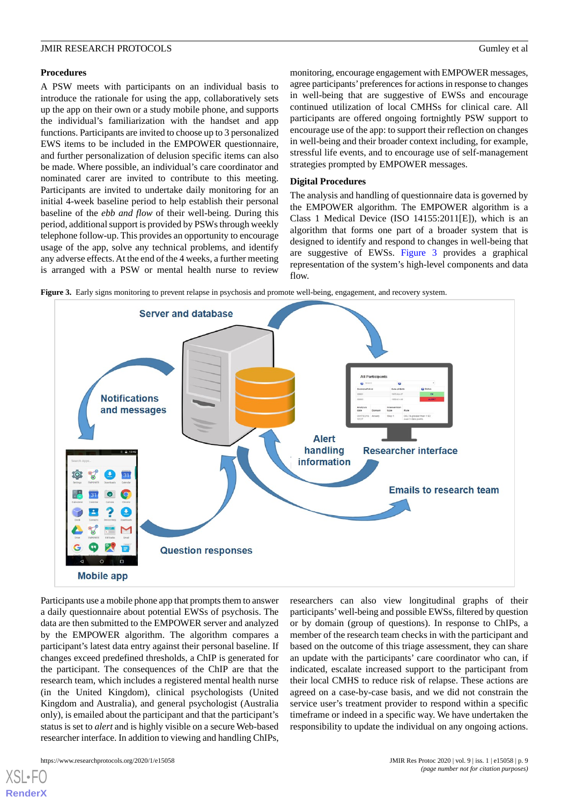#### **Procedures**

A PSW meets with participants on an individual basis to introduce the rationale for using the app, collaboratively sets up the app on their own or a study mobile phone, and supports the individual's familiarization with the handset and app functions. Participants are invited to choose up to 3 personalized EWS items to be included in the EMPOWER questionnaire, and further personalization of delusion specific items can also be made. Where possible, an individual's care coordinator and nominated carer are invited to contribute to this meeting. Participants are invited to undertake daily monitoring for an initial 4-week baseline period to help establish their personal baseline of the *ebb and flow* of their well-being. During this period, additional support is provided by PSWs through weekly telephone follow-up. This provides an opportunity to encourage usage of the app, solve any technical problems, and identify any adverse effects. At the end of the 4 weeks, a further meeting is arranged with a PSW or mental health nurse to review

monitoring, encourage engagement with EMPOWER messages, agree participants' preferences for actions in response to changes in well-being that are suggestive of EWSs and encourage continued utilization of local CMHSs for clinical care. All participants are offered ongoing fortnightly PSW support to encourage use of the app: to support their reflection on changes in well-being and their broader context including, for example, stressful life events, and to encourage use of self-management strategies prompted by EMPOWER messages.

## **Digital Procedures**

The analysis and handling of questionnaire data is governed by the EMPOWER algorithm. The EMPOWER algorithm is a Class 1 Medical Device (ISO 14155:2011[E]), which is an algorithm that forms one part of a broader system that is designed to identify and respond to changes in well-being that are suggestive of EWSs. [Figure 3](#page-8-0) provides a graphical representation of the system's high-level components and data flow.

<span id="page-8-0"></span>**Figure 3.** Early signs monitoring to prevent relapse in psychosis and promote well-being, engagement, and recovery system.



Participants use a mobile phone app that prompts them to answer a daily questionnaire about potential EWSs of psychosis. The data are then submitted to the EMPOWER server and analyzed by the EMPOWER algorithm. The algorithm compares a participant's latest data entry against their personal baseline. If changes exceed predefined thresholds, a ChIP is generated for the participant. The consequences of the ChIP are that the research team, which includes a registered mental health nurse (in the United Kingdom), clinical psychologists (United Kingdom and Australia), and general psychologist (Australia only), is emailed about the participant and that the participant's status is set to *alert* and is highly visible on a secure Web-based researcher interface. In addition to viewing and handling ChIPs,

researchers can also view longitudinal graphs of their participants' well-being and possible EWSs, filtered by question or by domain (group of questions). In response to ChIPs, a member of the research team checks in with the participant and based on the outcome of this triage assessment, they can share an update with the participants' care coordinator who can, if indicated, escalate increased support to the participant from their local CMHS to reduce risk of relapse. These actions are agreed on a case-by-case basis, and we did not constrain the service user's treatment provider to respond within a specific timeframe or indeed in a specific way. We have undertaken the responsibility to update the individual on any ongoing actions.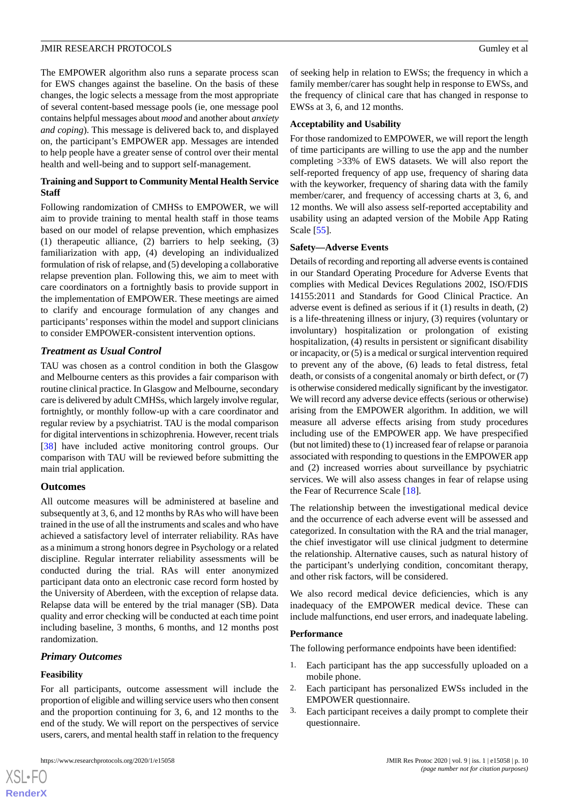The EMPOWER algorithm also runs a separate process scan for EWS changes against the baseline. On the basis of these changes, the logic selects a message from the most appropriate of several content-based message pools (ie, one message pool contains helpful messages about *mood* and another about *anxiety and coping*). This message is delivered back to, and displayed on, the participant's EMPOWER app. Messages are intended to help people have a greater sense of control over their mental health and well-being and to support self-management.

## **Training and Support to Community Mental Health Service Staff**

Following randomization of CMHSs to EMPOWER, we will aim to provide training to mental health staff in those teams based on our model of relapse prevention, which emphasizes (1) therapeutic alliance, (2) barriers to help seeking, (3) familiarization with app, (4) developing an individualized formulation of risk of relapse, and (5) developing a collaborative relapse prevention plan. Following this, we aim to meet with care coordinators on a fortnightly basis to provide support in the implementation of EMPOWER. These meetings are aimed to clarify and encourage formulation of any changes and participants' responses within the model and support clinicians to consider EMPOWER-consistent intervention options.

# *Treatment as Usual Control*

TAU was chosen as a control condition in both the Glasgow and Melbourne centers as this provides a fair comparison with routine clinical practice. In Glasgow and Melbourne, secondary care is delivered by adult CMHSs, which largely involve regular, fortnightly, or monthly follow-up with a care coordinator and regular review by a psychiatrist. TAU is the modal comparison for digital interventions in schizophrenia. However, recent trials [[38\]](#page-16-1) have included active monitoring control groups. Our comparison with TAU will be reviewed before submitting the main trial application.

## **Outcomes**

All outcome measures will be administered at baseline and subsequently at 3, 6, and 12 months by RAs who will have been trained in the use of all the instruments and scales and who have achieved a satisfactory level of interrater reliability. RAs have as a minimum a strong honors degree in Psychology or a related discipline. Regular interrater reliability assessments will be conducted during the trial. RAs will enter anonymized participant data onto an electronic case record form hosted by the University of Aberdeen, with the exception of relapse data. Relapse data will be entered by the trial manager (SB). Data quality and error checking will be conducted at each time point including baseline, 3 months, 6 months, and 12 months post randomization.

# *Primary Outcomes*

## **Feasibility**

[XSL](http://www.w3.org/Style/XSL)•FO **[RenderX](http://www.renderx.com/)**

For all participants, outcome assessment will include the proportion of eligible and willing service users who then consent and the proportion continuing for 3, 6, and 12 months to the end of the study. We will report on the perspectives of service users, carers, and mental health staff in relation to the frequency

of seeking help in relation to EWSs; the frequency in which a family member/carer has sought help in response to EWSs, and the frequency of clinical care that has changed in response to EWSs at 3, 6, and 12 months.

## **Acceptability and Usability**

For those randomized to EMPOWER, we will report the length of time participants are willing to use the app and the number completing >33% of EWS datasets. We will also report the self-reported frequency of app use, frequency of sharing data with the keyworker, frequency of sharing data with the family member/carer, and frequency of accessing charts at 3, 6, and 12 months. We will also assess self-reported acceptability and usability using an adapted version of the Mobile App Rating Scale [\[55](#page-16-11)].

#### **Safety—Adverse Events**

Details of recording and reporting all adverse events is contained in our Standard Operating Procedure for Adverse Events that complies with Medical Devices Regulations 2002, ISO/FDIS 14155:2011 and Standards for Good Clinical Practice. An adverse event is defined as serious if it (1) results in death, (2) is a life-threatening illness or injury, (3) requires (voluntary or involuntary) hospitalization or prolongation of existing hospitalization, (4) results in persistent or significant disability or incapacity, or (5) is a medical or surgical intervention required to prevent any of the above, (6) leads to fetal distress, fetal death, or consists of a congenital anomaly or birth defect, or (7) is otherwise considered medically significant by the investigator. We will record any adverse device effects (serious or otherwise) arising from the EMPOWER algorithm. In addition, we will measure all adverse effects arising from study procedures including use of the EMPOWER app. We have prespecified (but not limited) these to (1) increased fear of relapse or paranoia associated with responding to questions in the EMPOWER app and (2) increased worries about surveillance by psychiatric services. We will also assess changes in fear of relapse using the Fear of Recurrence Scale [[18\]](#page-15-2).

The relationship between the investigational medical device and the occurrence of each adverse event will be assessed and categorized. In consultation with the RA and the trial manager, the chief investigator will use clinical judgment to determine the relationship. Alternative causes, such as natural history of the participant's underlying condition, concomitant therapy, and other risk factors, will be considered.

We also record medical device deficiencies, which is any inadequacy of the EMPOWER medical device. These can include malfunctions, end user errors, and inadequate labeling.

## **Performance**

The following performance endpoints have been identified:

- 1. Each participant has the app successfully uploaded on a mobile phone.
- 2. Each participant has personalized EWSs included in the EMPOWER questionnaire.
- 3. Each participant receives a daily prompt to complete their questionnaire.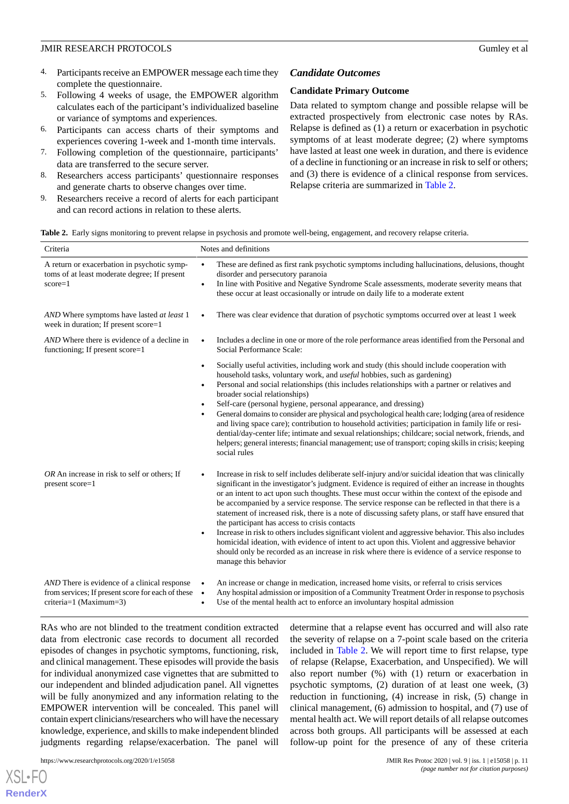- 4. Participants receive an EMPOWER message each time they complete the questionnaire.
- 5. Following 4 weeks of usage, the EMPOWER algorithm calculates each of the participant's individualized baseline or variance of symptoms and experiences.
- 6. Participants can access charts of their symptoms and experiences covering 1-week and 1-month time intervals.
- 7. Following completion of the questionnaire, participants' data are transferred to the secure server.
- 8. Researchers access participants' questionnaire responses and generate charts to observe changes over time.
- <span id="page-10-0"></span>9. Researchers receive a record of alerts for each participant and can record actions in relation to these alerts.

# *Candidate Outcomes*

#### **Candidate Primary Outcome**

Data related to symptom change and possible relapse will be extracted prospectively from electronic case notes by RAs. Relapse is defined as (1) a return or exacerbation in psychotic symptoms of at least moderate degree; (2) where symptoms have lasted at least one week in duration, and there is evidence of a decline in functioning or an increase in risk to self or others; and (3) there is evidence of a clinical response from services. Relapse criteria are summarized in [Table 2](#page-10-0).

|  |  |  |  |  | Table 2. Early signs monitoring to prevent relapse in psychosis and promote well-being, engagement, and recovery relapse criteria. |  |
|--|--|--|--|--|------------------------------------------------------------------------------------------------------------------------------------|--|
|--|--|--|--|--|------------------------------------------------------------------------------------------------------------------------------------|--|

| Criteria                                                                                                                         | Notes and definitions  |                                                                                                                                                                                                                                                                                                                                                                                                                                                                                                                                                                                                                                                                                                                                                                                                                                                                                                            |  |
|----------------------------------------------------------------------------------------------------------------------------------|------------------------|------------------------------------------------------------------------------------------------------------------------------------------------------------------------------------------------------------------------------------------------------------------------------------------------------------------------------------------------------------------------------------------------------------------------------------------------------------------------------------------------------------------------------------------------------------------------------------------------------------------------------------------------------------------------------------------------------------------------------------------------------------------------------------------------------------------------------------------------------------------------------------------------------------|--|
| A return or exacerbation in psychotic symp-<br>toms of at least moderate degree; If present<br>$score=1$                         | $\bullet$<br>$\bullet$ | These are defined as first rank psychotic symptoms including hallucinations, delusions, thought<br>disorder and persecutory paranoia<br>In line with Positive and Negative Syndrome Scale assessments, moderate severity means that<br>these occur at least occasionally or intrude on daily life to a moderate extent                                                                                                                                                                                                                                                                                                                                                                                                                                                                                                                                                                                     |  |
| AND Where symptoms have lasted at least 1<br>week in duration; If present score=1                                                |                        | There was clear evidence that duration of psychotic symptoms occurred over at least 1 week                                                                                                                                                                                                                                                                                                                                                                                                                                                                                                                                                                                                                                                                                                                                                                                                                 |  |
| AND Where there is evidence of a decline in<br>functioning; If present score=1                                                   |                        | Includes a decline in one or more of the role performance areas identified from the Personal and<br>Social Performance Scale:                                                                                                                                                                                                                                                                                                                                                                                                                                                                                                                                                                                                                                                                                                                                                                              |  |
|                                                                                                                                  | $\bullet$<br>$\bullet$ | Socially useful activities, including work and study (this should include cooperation with<br>household tasks, voluntary work, and <i>useful</i> hobbies, such as gardening)<br>Personal and social relationships (this includes relationships with a partner or relatives and<br>broader social relationships)<br>Self-care (personal hygiene, personal appearance, and dressing)<br>General domains to consider are physical and psychological health care; lodging (area of residence<br>and living space care); contribution to household activities; participation in family life or resi-<br>dential/day-center life; intimate and sexual relationships; childcare; social network, friends, and<br>helpers; general interests; financial management; use of transport; coping skills in crisis; keeping<br>social rules                                                                             |  |
| OR An increase in risk to self or others; If<br>present score=1                                                                  |                        | Increase in risk to self includes deliberate self-injury and/or suicidal ideation that was clinically<br>significant in the investigator's judgment. Evidence is required of either an increase in thoughts<br>or an intent to act upon such thoughts. These must occur within the context of the episode and<br>be accompanied by a service response. The service response can be reflected in that there is a<br>statement of increased risk, there is a note of discussing safety plans, or staff have ensured that<br>the participant has access to crisis contacts<br>Increase in risk to others includes significant violent and aggressive behavior. This also includes<br>homicidal ideation, with evidence of intent to act upon this. Violent and aggressive behavior<br>should only be recorded as an increase in risk where there is evidence of a service response to<br>manage this behavior |  |
| AND There is evidence of a clinical response<br>from services; If present score for each of these •<br>$criterion=1 (Maximum=3)$ | $\bullet$              | An increase or change in medication, increased home visits, or referral to crisis services<br>Any hospital admission or imposition of a Community Treatment Order in response to psychosis<br>Use of the mental health act to enforce an involuntary hospital admission                                                                                                                                                                                                                                                                                                                                                                                                                                                                                                                                                                                                                                    |  |

RAs who are not blinded to the treatment condition extracted data from electronic case records to document all recorded episodes of changes in psychotic symptoms, functioning, risk, and clinical management. These episodes will provide the basis for individual anonymized case vignettes that are submitted to our independent and blinded adjudication panel. All vignettes will be fully anonymized and any information relating to the EMPOWER intervention will be concealed. This panel will contain expert clinicians/researchers who will have the necessary knowledge, experience, and skills to make independent blinded judgments regarding relapse/exacerbation. The panel will

determine that a relapse event has occurred and will also rate the severity of relapse on a 7-point scale based on the criteria included in [Table 2.](#page-10-0) We will report time to first relapse, type of relapse (Relapse, Exacerbation, and Unspecified). We will also report number (%) with (1) return or exacerbation in psychotic symptoms, (2) duration of at least one week, (3) reduction in functioning, (4) increase in risk, (5) change in clinical management, (6) admission to hospital, and (7) use of mental health act. We will report details of all relapse outcomes across both groups. All participants will be assessed at each follow-up point for the presence of any of these criteria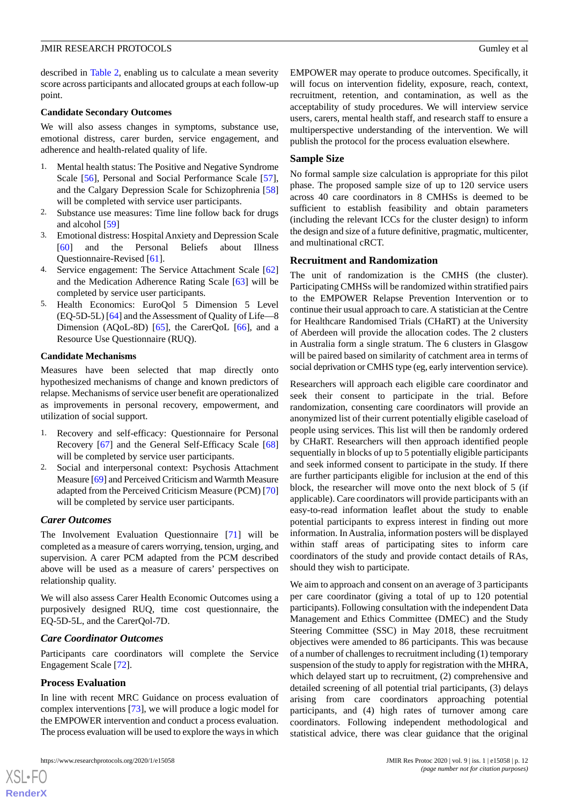described in [Table 2](#page-10-0), enabling us to calculate a mean severity score across participants and allocated groups at each follow-up point.

#### **Candidate Secondary Outcomes**

We will also assess changes in symptoms, substance use, emotional distress, carer burden, service engagement, and adherence and health-related quality of life.

- 1. Mental health status: The Positive and Negative Syndrome Scale [\[56](#page-16-12)], Personal and Social Performance Scale [[57\]](#page-16-13), and the Calgary Depression Scale for Schizophrenia [\[58](#page-17-0)] will be completed with service user participants.
- 2. Substance use measures: Time line follow back for drugs and alcohol [[59\]](#page-17-1)
- 3. Emotional distress: Hospital Anxiety and Depression Scale [[60\]](#page-17-2) and the Personal Beliefs about Illness Questionnaire-Revised [[61\]](#page-17-3).
- 4. Service engagement: The Service Attachment Scale [\[62](#page-17-4)] and the Medication Adherence Rating Scale [\[63](#page-17-5)] will be completed by service user participants.
- 5. Health Economics: EuroQol 5 Dimension 5 Level (EQ-5D-5L) [\[64](#page-17-6)] and the Assessment of Quality of Life—8 Dimension (AQoL-8D) [[65\]](#page-17-7), the CarerQoL [\[66](#page-17-8)], and a Resource Use Questionnaire (RUQ).

#### **Candidate Mechanisms**

Measures have been selected that map directly onto hypothesized mechanisms of change and known predictors of relapse. Mechanisms of service user benefit are operationalized as improvements in personal recovery, empowerment, and utilization of social support.

- 1. Recovery and self-efficacy: Questionnaire for Personal Recovery [[67\]](#page-17-9) and the General Self-Efficacy Scale [\[68](#page-17-10)] will be completed by service user participants.
- 2. Social and interpersonal context: Psychosis Attachment Measure [[69](#page-17-11)] and Perceived Criticism and Warmth Measure adapted from the Perceived Criticism Measure (PCM) [\[70](#page-17-12)] will be completed by service user participants.

## *Carer Outcomes*

The Involvement Evaluation Questionnaire [[71\]](#page-17-13) will be completed as a measure of carers worrying, tension, urging, and supervision. A carer PCM adapted from the PCM described above will be used as a measure of carers' perspectives on relationship quality.

We will also assess Carer Health Economic Outcomes using a purposively designed RUQ, time cost questionnaire, the EQ-5D-5L, and the CarerQol-7D.

#### *Care Coordinator Outcomes*

Participants care coordinators will complete the Service Engagement Scale [\[72](#page-17-14)].

#### **Process Evaluation**

In line with recent MRC Guidance on process evaluation of complex interventions [\[73](#page-17-15)], we will produce a logic model for the EMPOWER intervention and conduct a process evaluation. The process evaluation will be used to explore the ways in which

EMPOWER may operate to produce outcomes. Specifically, it will focus on intervention fidelity, exposure, reach, context, recruitment, retention, and contamination, as well as the acceptability of study procedures. We will interview service users, carers, mental health staff, and research staff to ensure a multiperspective understanding of the intervention. We will publish the protocol for the process evaluation elsewhere.

#### **Sample Size**

No formal sample size calculation is appropriate for this pilot phase. The proposed sample size of up to 120 service users across 40 care coordinators in 8 CMHSs is deemed to be sufficient to establish feasibility and obtain parameters (including the relevant ICCs for the cluster design) to inform the design and size of a future definitive, pragmatic, multicenter, and multinational cRCT.

## **Recruitment and Randomization**

The unit of randomization is the CMHS (the cluster). Participating CMHSs will be randomized within stratified pairs to the EMPOWER Relapse Prevention Intervention or to continue their usual approach to care. A statistician at the Centre for Healthcare Randomised Trials (CHaRT) at the University of Aberdeen will provide the allocation codes. The 2 clusters in Australia form a single stratum. The 6 clusters in Glasgow will be paired based on similarity of catchment area in terms of social deprivation or CMHS type (eg, early intervention service).

Researchers will approach each eligible care coordinator and seek their consent to participate in the trial. Before randomization, consenting care coordinators will provide an anonymized list of their current potentially eligible caseload of people using services. This list will then be randomly ordered by CHaRT. Researchers will then approach identified people sequentially in blocks of up to 5 potentially eligible participants and seek informed consent to participate in the study. If there are further participants eligible for inclusion at the end of this block, the researcher will move onto the next block of 5 (if applicable). Care coordinators will provide participants with an easy-to-read information leaflet about the study to enable potential participants to express interest in finding out more information. In Australia, information posters will be displayed within staff areas of participating sites to inform care coordinators of the study and provide contact details of RAs, should they wish to participate.

We aim to approach and consent on an average of 3 participants per care coordinator (giving a total of up to 120 potential participants). Following consultation with the independent Data Management and Ethics Committee (DMEC) and the Study Steering Committee (SSC) in May 2018, these recruitment objectives were amended to 86 participants. This was because of a number of challenges to recruitment including (1) temporary suspension of the study to apply for registration with the MHRA, which delayed start up to recruitment, (2) comprehensive and detailed screening of all potential trial participants, (3) delays arising from care coordinators approaching potential participants, and (4) high rates of turnover among care coordinators. Following independent methodological and statistical advice, there was clear guidance that the original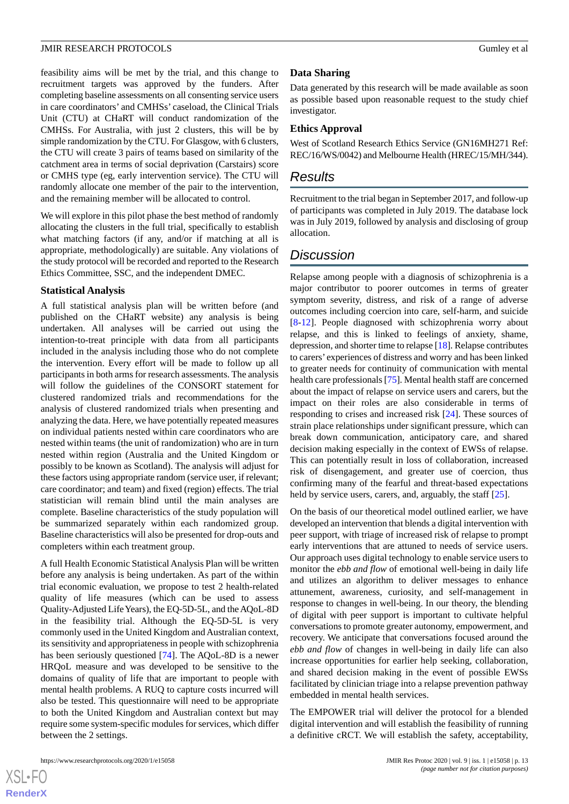feasibility aims will be met by the trial, and this change to recruitment targets was approved by the funders. After completing baseline assessments on all consenting service users in care coordinators' and CMHSs' caseload, the Clinical Trials Unit (CTU) at CHaRT will conduct randomization of the CMHSs. For Australia, with just 2 clusters, this will be by simple randomization by the CTU. For Glasgow, with 6 clusters, the CTU will create 3 pairs of teams based on similarity of the catchment area in terms of social deprivation (Carstairs) score or CMHS type (eg, early intervention service). The CTU will randomly allocate one member of the pair to the intervention, and the remaining member will be allocated to control.

We will explore in this pilot phase the best method of randomly allocating the clusters in the full trial, specifically to establish what matching factors (if any, and/or if matching at all is appropriate, methodologically) are suitable. Any violations of the study protocol will be recorded and reported to the Research Ethics Committee, SSC, and the independent DMEC.

# **Statistical Analysis**

A full statistical analysis plan will be written before (and published on the CHaRT website) any analysis is being undertaken. All analyses will be carried out using the intention-to-treat principle with data from all participants included in the analysis including those who do not complete the intervention. Every effort will be made to follow up all participants in both arms for research assessments. The analysis will follow the guidelines of the CONSORT statement for clustered randomized trials and recommendations for the analysis of clustered randomized trials when presenting and analyzing the data. Here, we have potentially repeated measures on individual patients nested within care coordinators who are nested within teams (the unit of randomization) who are in turn nested within region (Australia and the United Kingdom or possibly to be known as Scotland). The analysis will adjust for these factors using appropriate random (service user, if relevant; care coordinator; and team) and fixed (region) effects. The trial statistician will remain blind until the main analyses are complete. Baseline characteristics of the study population will be summarized separately within each randomized group. Baseline characteristics will also be presented for drop-outs and completers within each treatment group.

A full Health Economic Statistical Analysis Plan will be written before any analysis is being undertaken. As part of the within trial economic evaluation, we propose to test 2 health-related quality of life measures (which can be used to assess Quality-Adjusted Life Years), the EQ-5D-5L, and the AQoL-8D in the feasibility trial. Although the EQ-5D-5L is very commonly used in the United Kingdom and Australian context, its sensitivity and appropriateness in people with schizophrenia has been seriously questioned [[74\]](#page-17-16). The AQoL-8D is a newer HRQoL measure and was developed to be sensitive to the domains of quality of life that are important to people with mental health problems. A RUQ to capture costs incurred will also be tested. This questionnaire will need to be appropriate to both the United Kingdom and Australian context but may require some system-specific modules for services, which differ between the 2 settings.

# **Data Sharing**

Data generated by this research will be made available as soon as possible based upon reasonable request to the study chief investigator.

# **Ethics Approval**

West of Scotland Research Ethics Service (GN16MH271 Ref: REC/16/WS/0042) and Melbourne Health (HREC/15/MH/344).

# *Results*

Recruitment to the trial began in September 2017, and follow-up of participants was completed in July 2019. The database lock was in July 2019, followed by analysis and disclosing of group allocation.

# *Discussion*

Relapse among people with a diagnosis of schizophrenia is a major contributor to poorer outcomes in terms of greater symptom severity, distress, and risk of a range of adverse outcomes including coercion into care, self-harm, and suicide [[8](#page-14-7)[-12](#page-14-10)]. People diagnosed with schizophrenia worry about relapse, and this is linked to feelings of anxiety, shame, depression, and shorter time to relapse [\[18](#page-15-2)]. Relapse contributes to carers' experiences of distress and worry and has been linked to greater needs for continuity of communication with mental health care professionals [\[75](#page-17-17)]. Mental health staff are concerned about the impact of relapse on service users and carers, but the impact on their roles are also considerable in terms of responding to crises and increased risk [\[24](#page-15-8)]. These sources of strain place relationships under significant pressure, which can break down communication, anticipatory care, and shared decision making especially in the context of EWSs of relapse. This can potentially result in loss of collaboration, increased risk of disengagement, and greater use of coercion, thus confirming many of the fearful and threat-based expectations held by service users, carers, and, arguably, the staff [[25\]](#page-15-9).

On the basis of our theoretical model outlined earlier, we have developed an intervention that blends a digital intervention with peer support, with triage of increased risk of relapse to prompt early interventions that are attuned to needs of service users. Our approach uses digital technology to enable service users to monitor the *ebb and flow* of emotional well-being in daily life and utilizes an algorithm to deliver messages to enhance attunement, awareness, curiosity, and self-management in response to changes in well-being. In our theory, the blending of digital with peer support is important to cultivate helpful conversations to promote greater autonomy, empowerment, and recovery. We anticipate that conversations focused around the *ebb and flow* of changes in well-being in daily life can also increase opportunities for earlier help seeking, collaboration, and shared decision making in the event of possible EWSs facilitated by clinician triage into a relapse prevention pathway embedded in mental health services.

The EMPOWER trial will deliver the protocol for a blended digital intervention and will establish the feasibility of running a definitive cRCT. We will establish the safety, acceptability,

 $XS$  • FO **[RenderX](http://www.renderx.com/)**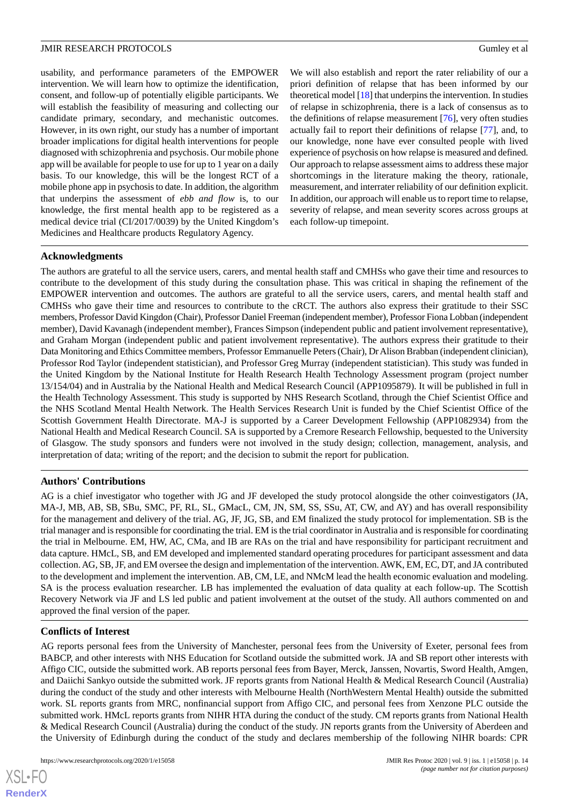usability, and performance parameters of the EMPOWER intervention. We will learn how to optimize the identification, consent, and follow-up of potentially eligible participants. We will establish the feasibility of measuring and collecting our candidate primary, secondary, and mechanistic outcomes. However, in its own right, our study has a number of important broader implications for digital health interventions for people diagnosed with schizophrenia and psychosis. Our mobile phone app will be available for people to use for up to 1 year on a daily basis. To our knowledge, this will be the longest RCT of a mobile phone app in psychosis to date. In addition, the algorithm that underpins the assessment of *ebb and flow* is, to our knowledge, the first mental health app to be registered as a medical device trial (CI/2017/0039) by the United Kingdom's Medicines and Healthcare products Regulatory Agency.

We will also establish and report the rater reliability of our a priori definition of relapse that has been informed by our theoretical model [\[18\]](#page-15-2) that underpins the intervention. In studies of relapse in schizophrenia, there is a lack of consensus as to the definitions of relapse measurement [[76\]](#page-17-18), very often studies actually fail to report their definitions of relapse [[77\]](#page-17-19), and, to our knowledge, none have ever consulted people with lived experience of psychosis on how relapse is measured and defined. Our approach to relapse assessment aims to address these major shortcomings in the literature making the theory, rationale, measurement, and interrater reliability of our definition explicit. In addition, our approach will enable us to report time to relapse, severity of relapse, and mean severity scores across groups at each follow-up timepoint.

# **Acknowledgments**

The authors are grateful to all the service users, carers, and mental health staff and CMHSs who gave their time and resources to contribute to the development of this study during the consultation phase. This was critical in shaping the refinement of the EMPOWER intervention and outcomes. The authors are grateful to all the service users, carers, and mental health staff and CMHSs who gave their time and resources to contribute to the cRCT. The authors also express their gratitude to their SSC members, Professor David Kingdon (Chair), Professor Daniel Freeman (independent member), Professor Fiona Lobban (independent member), David Kavanagh (independent member), Frances Simpson (independent public and patient involvement representative), and Graham Morgan (independent public and patient involvement representative). The authors express their gratitude to their Data Monitoring and Ethics Committee members, Professor Emmanuelle Peters (Chair), Dr Alison Brabban (independent clinician), Professor Rod Taylor (independent statistician), and Professor Greg Murray (independent statistician). This study was funded in the United Kingdom by the National Institute for Health Research Health Technology Assessment program (project number 13/154/04) and in Australia by the National Health and Medical Research Council (APP1095879). It will be published in full in the Health Technology Assessment. This study is supported by NHS Research Scotland, through the Chief Scientist Office and the NHS Scotland Mental Health Network. The Health Services Research Unit is funded by the Chief Scientist Office of the Scottish Government Health Directorate. MA-J is supported by a Career Development Fellowship (APP1082934) from the National Health and Medical Research Council. SA is supported by a Cremore Research Fellowship, bequested to the University of Glasgow. The study sponsors and funders were not involved in the study design; collection, management, analysis, and interpretation of data; writing of the report; and the decision to submit the report for publication.

# **Authors' Contributions**

AG is a chief investigator who together with JG and JF developed the study protocol alongside the other coinvestigators (JA, MA-J, MB, AB, SB, SBu, SMC, PF, RL, SL, GMacL, CM, JN, SM, SS, SSu, AT, CW, and AY) and has overall responsibility for the management and delivery of the trial. AG, JF, JG, SB, and EM finalized the study protocol for implementation. SB is the trial manager and is responsible for coordinating the trial. EM is the trial coordinator in Australia and is responsible for coordinating the trial in Melbourne. EM, HW, AC, CMa, and IB are RAs on the trial and have responsibility for participant recruitment and data capture. HMcL, SB, and EM developed and implemented standard operating procedures for participant assessment and data collection. AG, SB, JF, and EM oversee the design and implementation of the intervention. AWK, EM, EC, DT, and JA contributed to the development and implement the intervention. AB, CM, LE, and NMcM lead the health economic evaluation and modeling. SA is the process evaluation researcher. LB has implemented the evaluation of data quality at each follow-up. The Scottish Recovery Network via JF and LS led public and patient involvement at the outset of the study. All authors commented on and approved the final version of the paper.

# **Conflicts of Interest**

AG reports personal fees from the University of Manchester, personal fees from the University of Exeter, personal fees from BABCP, and other interests with NHS Education for Scotland outside the submitted work. JA and SB report other interests with Affigo CIC, outside the submitted work. AB reports personal fees from Bayer, Merck, Janssen, Novartis, Sword Health, Amgen, and Daiichi Sankyo outside the submitted work. JF reports grants from National Health & Medical Research Council (Australia) during the conduct of the study and other interests with Melbourne Health (NorthWestern Mental Health) outside the submitted work. SL reports grants from MRC, nonfinancial support from Affigo CIC, and personal fees from Xenzone PLC outside the submitted work. HMcL reports grants from NIHR HTA during the conduct of the study. CM reports grants from National Health & Medical Research Council (Australia) during the conduct of the study. JN reports grants from the University of Aberdeen and the University of Edinburgh during the conduct of the study and declares membership of the following NIHR boards: CPR

 $XS$  • FO **[RenderX](http://www.renderx.com/)**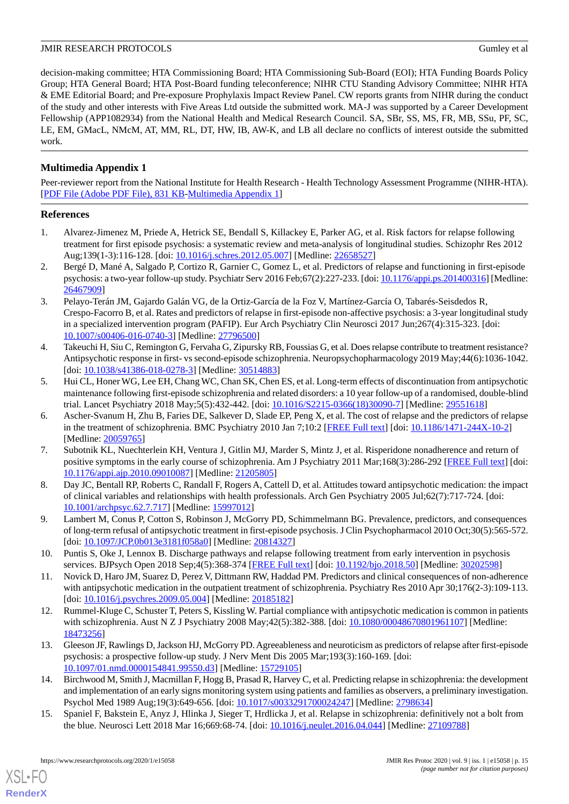decision-making committee; HTA Commissioning Board; HTA Commissioning Sub-Board (EOI); HTA Funding Boards Policy Group; HTA General Board; HTA Post-Board funding teleconference; NIHR CTU Standing Advisory Committee; NIHR HTA & EME Editorial Board; and Pre-exposure Prophylaxis Impact Review Panel. CW reports grants from NIHR during the conduct of the study and other interests with Five Areas Ltd outside the submitted work. MA-J was supported by a Career Development Fellowship (APP1082934) from the National Health and Medical Research Council. SA, SBr, SS, MS, FR, MB, SSu, PF, SC, LE, EM, GMacL, NMcM, AT, MM, RL, DT, HW, IB, AW-K, and LB all declare no conflicts of interest outside the submitted work.

# **Multimedia Appendix 1**

Peer-reviewer report from the National Institute for Health Research - Health Technology Assessment Programme (NIHR-HTA). [[PDF File \(Adobe PDF File\), 831 KB](https://jmir.org/api/download?alt_name=resprot_v9i1e15058_app1.pdf&filename=d5e224c39a9e7db87194114cdf9c25cb.pdf)-[Multimedia Appendix 1](https://jmir.org/api/download?alt_name=resprot_v9i1e15058_app1.pdf&filename=d5e224c39a9e7db87194114cdf9c25cb.pdf)]

# <span id="page-14-0"></span>**References**

- <span id="page-14-1"></span>1. Alvarez-Jimenez M, Priede A, Hetrick SE, Bendall S, Killackey E, Parker AG, et al. Risk factors for relapse following treatment for first episode psychosis: a systematic review and meta-analysis of longitudinal studies. Schizophr Res 2012 Aug;139(1-3):116-128. [doi: [10.1016/j.schres.2012.05.007](http://dx.doi.org/10.1016/j.schres.2012.05.007)] [Medline: [22658527\]](http://www.ncbi.nlm.nih.gov/entrez/query.fcgi?cmd=Retrieve&db=PubMed&list_uids=22658527&dopt=Abstract)
- <span id="page-14-2"></span>2. Bergé D, Mané A, Salgado P, Cortizo R, Garnier C, Gomez L, et al. Predictors of relapse and functioning in first-episode psychosis: a two-year follow-up study. Psychiatr Serv 2016 Feb;67(2):227-233. [doi: [10.1176/appi.ps.201400316\]](http://dx.doi.org/10.1176/appi.ps.201400316) [Medline: [26467909](http://www.ncbi.nlm.nih.gov/entrez/query.fcgi?cmd=Retrieve&db=PubMed&list_uids=26467909&dopt=Abstract)]
- <span id="page-14-3"></span>3. Pelayo-Terán JM, Gajardo Galán VG, de la Ortiz-García de la Foz V, Martínez-García O, Tabarés-Seisdedos R, Crespo-Facorro B, et al. Rates and predictors of relapse in first-episode non-affective psychosis: a 3-year longitudinal study in a specialized intervention program (PAFIP). Eur Arch Psychiatry Clin Neurosci 2017 Jun;267(4):315-323. [doi: [10.1007/s00406-016-0740-3\]](http://dx.doi.org/10.1007/s00406-016-0740-3) [Medline: [27796500](http://www.ncbi.nlm.nih.gov/entrez/query.fcgi?cmd=Retrieve&db=PubMed&list_uids=27796500&dopt=Abstract)]
- <span id="page-14-4"></span>4. Takeuchi H, Siu C, Remington G, Fervaha G, Zipursky RB, Foussias G, et al. Does relapse contribute to treatment resistance? Antipsychotic response in first- vs second-episode schizophrenia. Neuropsychopharmacology 2019 May;44(6):1036-1042. [doi: [10.1038/s41386-018-0278-3](http://dx.doi.org/10.1038/s41386-018-0278-3)] [Medline: [30514883\]](http://www.ncbi.nlm.nih.gov/entrez/query.fcgi?cmd=Retrieve&db=PubMed&list_uids=30514883&dopt=Abstract)
- <span id="page-14-5"></span>5. Hui CL, Honer WG, Lee EH, Chang WC, Chan SK, Chen ES, et al. Long-term effects of discontinuation from antipsychotic maintenance following first-episode schizophrenia and related disorders: a 10 year follow-up of a randomised, double-blind trial. Lancet Psychiatry 2018 May;5(5):432-442. [doi: [10.1016/S2215-0366\(18\)30090-7\]](http://dx.doi.org/10.1016/S2215-0366(18)30090-7) [Medline: [29551618\]](http://www.ncbi.nlm.nih.gov/entrez/query.fcgi?cmd=Retrieve&db=PubMed&list_uids=29551618&dopt=Abstract)
- <span id="page-14-6"></span>6. Ascher-Svanum H, Zhu B, Faries DE, Salkever D, Slade EP, Peng X, et al. The cost of relapse and the predictors of relapse in the treatment of schizophrenia. BMC Psychiatry 2010 Jan 7;10:2 [\[FREE Full text\]](https://bmcpsychiatry.biomedcentral.com/articles/10.1186/1471-244X-10-2) [doi: [10.1186/1471-244X-10-2](http://dx.doi.org/10.1186/1471-244X-10-2)] [Medline: [20059765](http://www.ncbi.nlm.nih.gov/entrez/query.fcgi?cmd=Retrieve&db=PubMed&list_uids=20059765&dopt=Abstract)]
- <span id="page-14-7"></span>7. Subotnik KL, Nuechterlein KH, Ventura J, Gitlin MJ, Marder S, Mintz J, et al. Risperidone nonadherence and return of positive symptoms in the early course of schizophrenia. Am J Psychiatry 2011 Mar;168(3):286-292 [\[FREE Full text](http://europepmc.org/abstract/MED/21205805)] [doi: [10.1176/appi.ajp.2010.09010087\]](http://dx.doi.org/10.1176/appi.ajp.2010.09010087) [Medline: [21205805](http://www.ncbi.nlm.nih.gov/entrez/query.fcgi?cmd=Retrieve&db=PubMed&list_uids=21205805&dopt=Abstract)]
- <span id="page-14-8"></span>8. Day JC, Bentall RP, Roberts C, Randall F, Rogers A, Cattell D, et al. Attitudes toward antipsychotic medication: the impact of clinical variables and relationships with health professionals. Arch Gen Psychiatry 2005 Jul;62(7):717-724. [doi: [10.1001/archpsyc.62.7.717\]](http://dx.doi.org/10.1001/archpsyc.62.7.717) [Medline: [15997012\]](http://www.ncbi.nlm.nih.gov/entrez/query.fcgi?cmd=Retrieve&db=PubMed&list_uids=15997012&dopt=Abstract)
- <span id="page-14-9"></span>9. Lambert M, Conus P, Cotton S, Robinson J, McGorry PD, Schimmelmann BG. Prevalence, predictors, and consequences of long-term refusal of antipsychotic treatment in first-episode psychosis. J Clin Psychopharmacol 2010 Oct;30(5):565-572. [doi: [10.1097/JCP.0b013e3181f058a0\]](http://dx.doi.org/10.1097/JCP.0b013e3181f058a0) [Medline: [20814327\]](http://www.ncbi.nlm.nih.gov/entrez/query.fcgi?cmd=Retrieve&db=PubMed&list_uids=20814327&dopt=Abstract)
- <span id="page-14-10"></span>10. Puntis S, Oke J, Lennox B. Discharge pathways and relapse following treatment from early intervention in psychosis services. BJPsych Open 2018 Sep;4(5):368-374 [[FREE Full text](https://www.cambridge.org/core/product/identifier/00050/type/journal_article)] [doi: [10.1192/bjo.2018.50](http://dx.doi.org/10.1192/bjo.2018.50)] [Medline: [30202598](http://www.ncbi.nlm.nih.gov/entrez/query.fcgi?cmd=Retrieve&db=PubMed&list_uids=30202598&dopt=Abstract)]
- <span id="page-14-11"></span>11. Novick D, Haro JM, Suarez D, Perez V, Dittmann RW, Haddad PM. Predictors and clinical consequences of non-adherence with antipsychotic medication in the outpatient treatment of schizophrenia. Psychiatry Res 2010 Apr 30;176(2-3):109-113. [doi: [10.1016/j.psychres.2009.05.004\]](http://dx.doi.org/10.1016/j.psychres.2009.05.004) [Medline: [20185182\]](http://www.ncbi.nlm.nih.gov/entrez/query.fcgi?cmd=Retrieve&db=PubMed&list_uids=20185182&dopt=Abstract)
- <span id="page-14-12"></span>12. Rummel-Kluge C, Schuster T, Peters S, Kissling W. Partial compliance with antipsychotic medication is common in patients with schizophrenia. Aust N Z J Psychiatry 2008 May;42(5):382-388. [doi: [10.1080/00048670801961107\]](http://dx.doi.org/10.1080/00048670801961107) [Medline: [18473256](http://www.ncbi.nlm.nih.gov/entrez/query.fcgi?cmd=Retrieve&db=PubMed&list_uids=18473256&dopt=Abstract)]
- <span id="page-14-13"></span>13. Gleeson JF, Rawlings D, Jackson HJ, McGorry PD. Agreeableness and neuroticism as predictors of relapse after first-episode psychosis: a prospective follow-up study. J Nerv Ment Dis 2005 Mar;193(3):160-169. [doi: [10.1097/01.nmd.0000154841.99550.d3\]](http://dx.doi.org/10.1097/01.nmd.0000154841.99550.d3) [Medline: [15729105](http://www.ncbi.nlm.nih.gov/entrez/query.fcgi?cmd=Retrieve&db=PubMed&list_uids=15729105&dopt=Abstract)]
- 14. Birchwood M, Smith J, Macmillan F, Hogg B, Prasad R, Harvey C, et al. Predicting relapse in schizophrenia: the development and implementation of an early signs monitoring system using patients and families as observers, a preliminary investigation. Psychol Med 1989 Aug;19(3):649-656. [doi: [10.1017/s0033291700024247\]](http://dx.doi.org/10.1017/s0033291700024247) [Medline: [2798634\]](http://www.ncbi.nlm.nih.gov/entrez/query.fcgi?cmd=Retrieve&db=PubMed&list_uids=2798634&dopt=Abstract)
- 15. Spaniel F, Bakstein E, Anyz J, Hlinka J, Sieger T, Hrdlicka J, et al. Relapse in schizophrenia: definitively not a bolt from the blue. Neurosci Lett 2018 Mar 16;669:68-74. [doi: [10.1016/j.neulet.2016.04.044](http://dx.doi.org/10.1016/j.neulet.2016.04.044)] [Medline: [27109788\]](http://www.ncbi.nlm.nih.gov/entrez/query.fcgi?cmd=Retrieve&db=PubMed&list_uids=27109788&dopt=Abstract)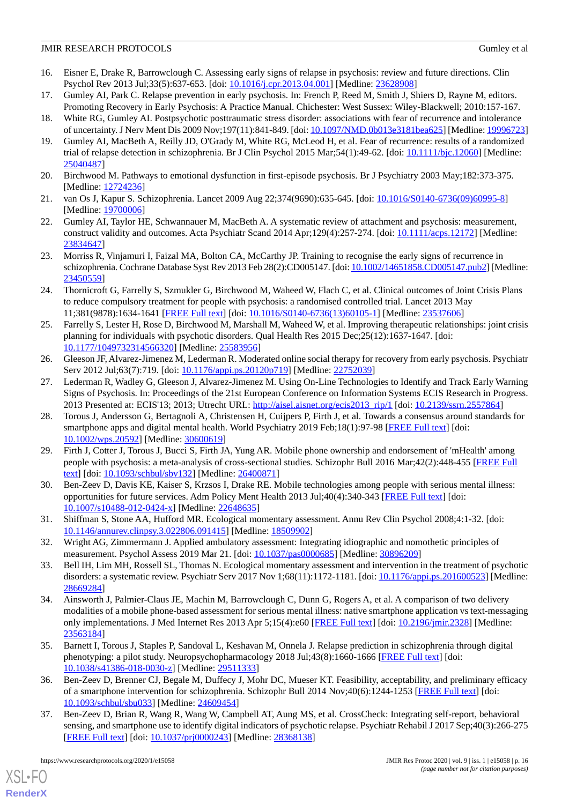- <span id="page-15-0"></span>16. Eisner E, Drake R, Barrowclough C. Assessing early signs of relapse in psychosis: review and future directions. Clin Psychol Rev 2013 Jul;33(5):637-653. [doi: [10.1016/j.cpr.2013.04.001](http://dx.doi.org/10.1016/j.cpr.2013.04.001)] [Medline: [23628908](http://www.ncbi.nlm.nih.gov/entrez/query.fcgi?cmd=Retrieve&db=PubMed&list_uids=23628908&dopt=Abstract)]
- <span id="page-15-1"></span>17. Gumley AI, Park C. Relapse prevention in early psychosis. In: French P, Reed M, Smith J, Shiers D, Rayne M, editors. Promoting Recovery in Early Psychosis: A Practice Manual. Chichester: West Sussex: Wiley-Blackwell; 2010:157-167.
- <span id="page-15-3"></span><span id="page-15-2"></span>18. White RG, Gumley AI. Postpsychotic posttraumatic stress disorder: associations with fear of recurrence and intolerance of uncertainty. J Nerv Ment Dis 2009 Nov;197(11):841-849. [doi: [10.1097/NMD.0b013e3181bea625\]](http://dx.doi.org/10.1097/NMD.0b013e3181bea625) [Medline: [19996723\]](http://www.ncbi.nlm.nih.gov/entrez/query.fcgi?cmd=Retrieve&db=PubMed&list_uids=19996723&dopt=Abstract)
- 19. Gumley AI, MacBeth A, Reilly JD, O'Grady M, White RG, McLeod H, et al. Fear of recurrence: results of a randomized trial of relapse detection in schizophrenia. Br J Clin Psychol 2015 Mar;54(1):49-62. [doi: [10.1111/bjc.12060\]](http://dx.doi.org/10.1111/bjc.12060) [Medline: [25040487](http://www.ncbi.nlm.nih.gov/entrez/query.fcgi?cmd=Retrieve&db=PubMed&list_uids=25040487&dopt=Abstract)]
- <span id="page-15-5"></span><span id="page-15-4"></span>20. Birchwood M. Pathways to emotional dysfunction in first-episode psychosis. Br J Psychiatry 2003 May;182:373-375. [Medline: [12724236](http://www.ncbi.nlm.nih.gov/entrez/query.fcgi?cmd=Retrieve&db=PubMed&list_uids=12724236&dopt=Abstract)]
- <span id="page-15-6"></span>21. van Os J, Kapur S. Schizophrenia. Lancet 2009 Aug 22;374(9690):635-645. [doi: [10.1016/S0140-6736\(09\)60995-8](http://dx.doi.org/10.1016/S0140-6736(09)60995-8)] [Medline: [19700006](http://www.ncbi.nlm.nih.gov/entrez/query.fcgi?cmd=Retrieve&db=PubMed&list_uids=19700006&dopt=Abstract)]
- <span id="page-15-7"></span>22. Gumley AI, Taylor HE, Schwannauer M, MacBeth A. A systematic review of attachment and psychosis: measurement, construct validity and outcomes. Acta Psychiatr Scand 2014 Apr;129(4):257-274. [doi: [10.1111/acps.12172](http://dx.doi.org/10.1111/acps.12172)] [Medline: [23834647](http://www.ncbi.nlm.nih.gov/entrez/query.fcgi?cmd=Retrieve&db=PubMed&list_uids=23834647&dopt=Abstract)]
- <span id="page-15-8"></span>23. Morriss R, Vinjamuri I, Faizal MA, Bolton CA, McCarthy JP. Training to recognise the early signs of recurrence in schizophrenia. Cochrane Database Syst Rev 2013 Feb 28(2):CD005147. [doi: [10.1002/14651858.CD005147.pub2](http://dx.doi.org/10.1002/14651858.CD005147.pub2)] [Medline: [23450559](http://www.ncbi.nlm.nih.gov/entrez/query.fcgi?cmd=Retrieve&db=PubMed&list_uids=23450559&dopt=Abstract)]
- <span id="page-15-9"></span>24. Thornicroft G, Farrelly S, Szmukler G, Birchwood M, Waheed W, Flach C, et al. Clinical outcomes of Joint Crisis Plans to reduce compulsory treatment for people with psychosis: a randomised controlled trial. Lancet 2013 May 11;381(9878):1634-1641 [[FREE Full text](https://linkinghub.elsevier.com/retrieve/pii/S0140-6736(13)60105-1)] [doi: [10.1016/S0140-6736\(13\)60105-1\]](http://dx.doi.org/10.1016/S0140-6736(13)60105-1) [Medline: [23537606](http://www.ncbi.nlm.nih.gov/entrez/query.fcgi?cmd=Retrieve&db=PubMed&list_uids=23537606&dopt=Abstract)]
- <span id="page-15-10"></span>25. Farrelly S, Lester H, Rose D, Birchwood M, Marshall M, Waheed W, et al. Improving therapeutic relationships: joint crisis planning for individuals with psychotic disorders. Qual Health Res 2015 Dec;25(12):1637-1647. [doi: [10.1177/1049732314566320\]](http://dx.doi.org/10.1177/1049732314566320) [Medline: [25583956\]](http://www.ncbi.nlm.nih.gov/entrez/query.fcgi?cmd=Retrieve&db=PubMed&list_uids=25583956&dopt=Abstract)
- <span id="page-15-11"></span>26. Gleeson JF, Alvarez-Jimenez M, Lederman R. Moderated online social therapy for recovery from early psychosis. Psychiatr Serv 2012 Jul;63(7):719. [doi: [10.1176/appi.ps.20120p719\]](http://dx.doi.org/10.1176/appi.ps.20120p719) [Medline: [22752039](http://www.ncbi.nlm.nih.gov/entrez/query.fcgi?cmd=Retrieve&db=PubMed&list_uids=22752039&dopt=Abstract)]
- <span id="page-15-12"></span>27. Lederman R, Wadley G, Gleeson J, Alvarez-Jimenez M. Using On-Line Technologies to Identify and Track Early Warning Signs of Psychosis. In: Proceedings of the 21st European Conference on Information Systems ECIS Research in Progress. 2013 Presented at: ECIS'13; 2013; Utrecht URL: [http://aisel.aisnet.org/ecis2013\\_rip/1](http://aisel.aisnet.org/ecis2013_rip/1) [doi: [10.2139/ssrn.2557864](http://dx.doi.org/10.2139/ssrn.2557864)]
- <span id="page-15-13"></span>28. Torous J, Andersson G, Bertagnoli A, Christensen H, Cuijpers P, Firth J, et al. Towards a consensus around standards for smartphone apps and digital mental health. World Psychiatry 2019 Feb;18(1):97-98 [\[FREE Full text\]](https://doi.org/10.1002/wps.20592) [doi: [10.1002/wps.20592](http://dx.doi.org/10.1002/wps.20592)] [Medline: [30600619](http://www.ncbi.nlm.nih.gov/entrez/query.fcgi?cmd=Retrieve&db=PubMed&list_uids=30600619&dopt=Abstract)]
- <span id="page-15-14"></span>29. Firth J, Cotter J, Torous J, Bucci S, Firth JA, Yung AR. Mobile phone ownership and endorsement of 'mHealth' among people with psychosis: a meta-analysis of cross-sectional studies. Schizophr Bull 2016 Mar;42(2):448-455 [\[FREE Full](http://europepmc.org/abstract/MED/26400871) [text](http://europepmc.org/abstract/MED/26400871)] [doi: [10.1093/schbul/sbv132](http://dx.doi.org/10.1093/schbul/sbv132)] [Medline: [26400871](http://www.ncbi.nlm.nih.gov/entrez/query.fcgi?cmd=Retrieve&db=PubMed&list_uids=26400871&dopt=Abstract)]
- <span id="page-15-16"></span><span id="page-15-15"></span>30. Ben-Zeev D, Davis KE, Kaiser S, Krzsos I, Drake RE. Mobile technologies among people with serious mental illness: opportunities for future services. Adm Policy Ment Health 2013 Jul;40(4):340-343 [[FREE Full text](http://europepmc.org/abstract/MED/22648635)] [doi: [10.1007/s10488-012-0424-x\]](http://dx.doi.org/10.1007/s10488-012-0424-x) [Medline: [22648635](http://www.ncbi.nlm.nih.gov/entrez/query.fcgi?cmd=Retrieve&db=PubMed&list_uids=22648635&dopt=Abstract)]
- <span id="page-15-17"></span>31. Shiffman S, Stone AA, Hufford MR. Ecological momentary assessment. Annu Rev Clin Psychol 2008;4:1-32. [doi: [10.1146/annurev.clinpsy.3.022806.091415](http://dx.doi.org/10.1146/annurev.clinpsy.3.022806.091415)] [Medline: [18509902](http://www.ncbi.nlm.nih.gov/entrez/query.fcgi?cmd=Retrieve&db=PubMed&list_uids=18509902&dopt=Abstract)]
- <span id="page-15-18"></span>32. Wright AG, Zimmermann J. Applied ambulatory assessment: Integrating idiographic and nomothetic principles of measurement. Psychol Assess 2019 Mar 21. [doi: [10.1037/pas0000685\]](http://dx.doi.org/10.1037/pas0000685) [Medline: [30896209\]](http://www.ncbi.nlm.nih.gov/entrez/query.fcgi?cmd=Retrieve&db=PubMed&list_uids=30896209&dopt=Abstract)
- 33. Bell IH, Lim MH, Rossell SL, Thomas N. Ecological momentary assessment and intervention in the treatment of psychotic disorders: a systematic review. Psychiatr Serv 2017 Nov 1;68(11):1172-1181. [doi: [10.1176/appi.ps.201600523\]](http://dx.doi.org/10.1176/appi.ps.201600523) [Medline: [28669284](http://www.ncbi.nlm.nih.gov/entrez/query.fcgi?cmd=Retrieve&db=PubMed&list_uids=28669284&dopt=Abstract)]
- <span id="page-15-19"></span>34. Ainsworth J, Palmier-Claus JE, Machin M, Barrowclough C, Dunn G, Rogers A, et al. A comparison of two delivery modalities of a mobile phone-based assessment for serious mental illness: native smartphone application vs text-messaging only implementations. J Med Internet Res 2013 Apr 5;15(4):e60 [\[FREE Full text\]](https://www.jmir.org/2013/4/e60/) [doi: [10.2196/jmir.2328\]](http://dx.doi.org/10.2196/jmir.2328) [Medline: [23563184](http://www.ncbi.nlm.nih.gov/entrez/query.fcgi?cmd=Retrieve&db=PubMed&list_uids=23563184&dopt=Abstract)]
- 35. Barnett I, Torous J, Staples P, Sandoval L, Keshavan M, Onnela J. Relapse prediction in schizophrenia through digital phenotyping: a pilot study. Neuropsychopharmacology 2018 Jul;43(8):1660-1666 [\[FREE Full text\]](http://dx.doi.org/10.1038/s41386-018-0030-z) [doi: [10.1038/s41386-018-0030-z](http://dx.doi.org/10.1038/s41386-018-0030-z)] [Medline: [29511333\]](http://www.ncbi.nlm.nih.gov/entrez/query.fcgi?cmd=Retrieve&db=PubMed&list_uids=29511333&dopt=Abstract)
- 36. Ben-Zeev D, Brenner CJ, Begale M, Duffecy J, Mohr DC, Mueser KT. Feasibility, acceptability, and preliminary efficacy of a smartphone intervention for schizophrenia. Schizophr Bull 2014 Nov;40(6):1244-1253 [[FREE Full text\]](http://europepmc.org/abstract/MED/24609454) [doi: [10.1093/schbul/sbu033](http://dx.doi.org/10.1093/schbul/sbu033)] [Medline: [24609454\]](http://www.ncbi.nlm.nih.gov/entrez/query.fcgi?cmd=Retrieve&db=PubMed&list_uids=24609454&dopt=Abstract)
- 37. Ben-Zeev D, Brian R, Wang R, Wang W, Campbell AT, Aung MS, et al. CrossCheck: Integrating self-report, behavioral sensing, and smartphone use to identify digital indicators of psychotic relapse. Psychiatr Rehabil J 2017 Sep;40(3):266-275 [[FREE Full text](http://europepmc.org/abstract/MED/28368138)] [doi: [10.1037/prj0000243\]](http://dx.doi.org/10.1037/prj0000243) [Medline: [28368138\]](http://www.ncbi.nlm.nih.gov/entrez/query.fcgi?cmd=Retrieve&db=PubMed&list_uids=28368138&dopt=Abstract)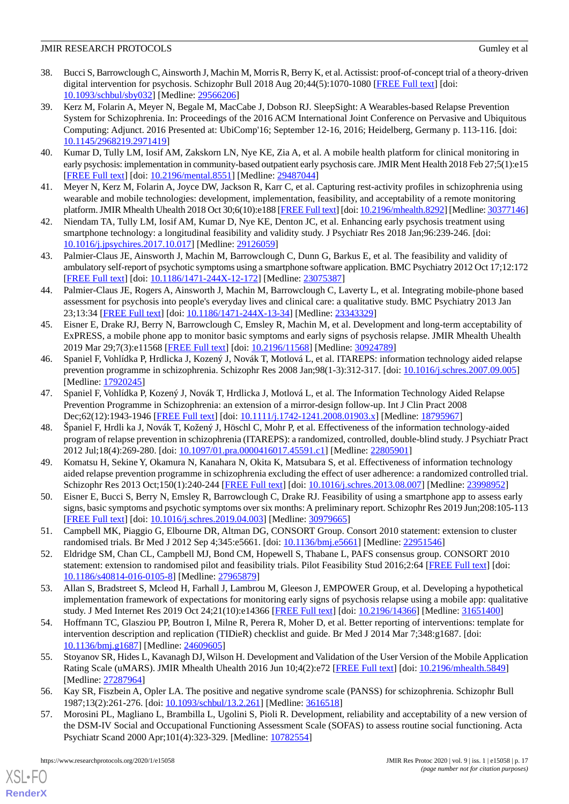- <span id="page-16-1"></span>38. Bucci S, Barrowclough C, Ainsworth J, Machin M, Morris R, Berry K, et al. Actissist: proof-of-concept trial of a theory-driven digital intervention for psychosis. Schizophr Bull 2018 Aug 20;44(5):1070-1080 [\[FREE Full text\]](http://europepmc.org/abstract/MED/29566206) [doi: [10.1093/schbul/sby032](http://dx.doi.org/10.1093/schbul/sby032)] [Medline: [29566206](http://www.ncbi.nlm.nih.gov/entrez/query.fcgi?cmd=Retrieve&db=PubMed&list_uids=29566206&dopt=Abstract)]
- 39. Kerz M, Folarin A, Meyer N, Begale M, MacCabe J, Dobson RJ. SleepSight: A Wearables-based Relapse Prevention System for Schizophrenia. In: Proceedings of the 2016 ACM International Joint Conference on Pervasive and Ubiquitous Computing: Adjunct. 2016 Presented at: UbiComp'16; September 12-16, 2016; Heidelberg, Germany p. 113-116. [doi: [10.1145/2968219.2971419](http://dx.doi.org/10.1145/2968219.2971419)]
- 40. Kumar D, Tully LM, Iosif AM, Zakskorn LN, Nye KE, Zia A, et al. A mobile health platform for clinical monitoring in early psychosis: implementation in community-based outpatient early psychosis care. JMIR Ment Health 2018 Feb 27;5(1):e15 [[FREE Full text](https://mental.jmir.org/2018/1/e15/)] [doi: [10.2196/mental.8551](http://dx.doi.org/10.2196/mental.8551)] [Medline: [29487044](http://www.ncbi.nlm.nih.gov/entrez/query.fcgi?cmd=Retrieve&db=PubMed&list_uids=29487044&dopt=Abstract)]
- 41. Meyer N, Kerz M, Folarin A, Joyce DW, Jackson R, Karr C, et al. Capturing rest-activity profiles in schizophrenia using wearable and mobile technologies: development, implementation, feasibility, and acceptability of a remote monitoring platform. JMIR Mhealth Uhealth 2018 Oct 30;6(10):e188 [[FREE Full text\]](https://mhealth.jmir.org/2018/10/e188/) [doi: [10.2196/mhealth.8292\]](http://dx.doi.org/10.2196/mhealth.8292) [Medline: [30377146\]](http://www.ncbi.nlm.nih.gov/entrez/query.fcgi?cmd=Retrieve&db=PubMed&list_uids=30377146&dopt=Abstract)
- 42. Niendam TA, Tully LM, Iosif AM, Kumar D, Nye KE, Denton JC, et al. Enhancing early psychosis treatment using smartphone technology: a longitudinal feasibility and validity study. J Psychiatr Res 2018 Jan;96:239-246. [doi: [10.1016/j.jpsychires.2017.10.017](http://dx.doi.org/10.1016/j.jpsychires.2017.10.017)] [Medline: [29126059\]](http://www.ncbi.nlm.nih.gov/entrez/query.fcgi?cmd=Retrieve&db=PubMed&list_uids=29126059&dopt=Abstract)
- 43. Palmier-Claus JE, Ainsworth J, Machin M, Barrowclough C, Dunn G, Barkus E, et al. The feasibility and validity of ambulatory self-report of psychotic symptoms using a smartphone software application. BMC Psychiatry 2012 Oct 17;12:172 [[FREE Full text](https://bmcpsychiatry.biomedcentral.com/articles/10.1186/1471-244X-12-172)] [doi: [10.1186/1471-244X-12-172\]](http://dx.doi.org/10.1186/1471-244X-12-172) [Medline: [23075387\]](http://www.ncbi.nlm.nih.gov/entrez/query.fcgi?cmd=Retrieve&db=PubMed&list_uids=23075387&dopt=Abstract)
- <span id="page-16-0"></span>44. Palmier-Claus JE, Rogers A, Ainsworth J, Machin M, Barrowclough C, Laverty L, et al. Integrating mobile-phone based assessment for psychosis into people's everyday lives and clinical care: a qualitative study. BMC Psychiatry 2013 Jan 23;13:34 [[FREE Full text](https://bmcpsychiatry.biomedcentral.com/articles/10.1186/1471-244X-13-34)] [doi: [10.1186/1471-244X-13-34](http://dx.doi.org/10.1186/1471-244X-13-34)] [Medline: [23343329\]](http://www.ncbi.nlm.nih.gov/entrez/query.fcgi?cmd=Retrieve&db=PubMed&list_uids=23343329&dopt=Abstract)
- <span id="page-16-2"></span>45. Eisner E, Drake RJ, Berry N, Barrowclough C, Emsley R, Machin M, et al. Development and long-term acceptability of ExPRESS, a mobile phone app to monitor basic symptoms and early signs of psychosis relapse. JMIR Mhealth Uhealth 2019 Mar 29;7(3):e11568 [[FREE Full text](https://mhealth.jmir.org/2019/3/e11568/)] [doi: [10.2196/11568\]](http://dx.doi.org/10.2196/11568) [Medline: [30924789](http://www.ncbi.nlm.nih.gov/entrez/query.fcgi?cmd=Retrieve&db=PubMed&list_uids=30924789&dopt=Abstract)]
- <span id="page-16-3"></span>46. Spaniel F, Vohlídka P, Hrdlicka J, Kozený J, Novák T, Motlová L, et al. ITAREPS: information technology aided relapse prevention programme in schizophrenia. Schizophr Res 2008 Jan;98(1-3):312-317. [doi: [10.1016/j.schres.2007.09.005](http://dx.doi.org/10.1016/j.schres.2007.09.005)] [Medline: [17920245](http://www.ncbi.nlm.nih.gov/entrez/query.fcgi?cmd=Retrieve&db=PubMed&list_uids=17920245&dopt=Abstract)]
- <span id="page-16-4"></span>47. Spaniel F, Vohlídka P, Kozený J, Novák T, Hrdlicka J, Motlová L, et al. The Information Technology Aided Relapse Prevention Programme in Schizophrenia: an extension of a mirror-design follow-up. Int J Clin Pract 2008 Dec;62(12):1943-1946 [[FREE Full text](https://dx.doi.org/10.1111/j.1742-1241.2008.01903.x)] [doi: [10.1111/j.1742-1241.2008.01903.x](http://dx.doi.org/10.1111/j.1742-1241.2008.01903.x)] [Medline: [18795967\]](http://www.ncbi.nlm.nih.gov/entrez/query.fcgi?cmd=Retrieve&db=PubMed&list_uids=18795967&dopt=Abstract)
- <span id="page-16-5"></span>48. Španiel F, Hrdli ka J, Novák T, Kožený J, Höschl C, Mohr P, et al. Effectiveness of the information technology-aided program of relapse prevention in schizophrenia (ITAREPS): a randomized, controlled, double-blind study. J Psychiatr Pract 2012 Jul;18(4):269-280. [doi: [10.1097/01.pra.0000416017.45591.c1](http://dx.doi.org/10.1097/01.pra.0000416017.45591.c1)] [Medline: [22805901\]](http://www.ncbi.nlm.nih.gov/entrez/query.fcgi?cmd=Retrieve&db=PubMed&list_uids=22805901&dopt=Abstract)
- <span id="page-16-7"></span><span id="page-16-6"></span>49. Komatsu H, Sekine Y, Okamura N, Kanahara N, Okita K, Matsubara S, et al. Effectiveness of information technology aided relapse prevention programme in schizophrenia excluding the effect of user adherence: a randomized controlled trial. Schizophr Res 2013 Oct;150(1):240-244 [\[FREE Full text\]](https://linkinghub.elsevier.com/retrieve/pii/S0920-9964(13)00442-8) [doi: [10.1016/j.schres.2013.08.007](http://dx.doi.org/10.1016/j.schres.2013.08.007)] [Medline: [23998952\]](http://www.ncbi.nlm.nih.gov/entrez/query.fcgi?cmd=Retrieve&db=PubMed&list_uids=23998952&dopt=Abstract)
- <span id="page-16-8"></span>50. Eisner E, Bucci S, Berry N, Emsley R, Barrowclough C, Drake RJ. Feasibility of using a smartphone app to assess early signs, basic symptoms and psychotic symptoms over six months: A preliminary report. Schizophr Res 2019 Jun;208:105-113 [[FREE Full text](https://linkinghub.elsevier.com/retrieve/pii/S0920-9964(19)30126-4)] [doi: [10.1016/j.schres.2019.04.003\]](http://dx.doi.org/10.1016/j.schres.2019.04.003) [Medline: [30979665](http://www.ncbi.nlm.nih.gov/entrez/query.fcgi?cmd=Retrieve&db=PubMed&list_uids=30979665&dopt=Abstract)]
- <span id="page-16-9"></span>51. Campbell MK, Piaggio G, Elbourne DR, Altman DG, CONSORT Group. Consort 2010 statement: extension to cluster randomised trials. Br Med J 2012 Sep 4;345:e5661. [doi: [10.1136/bmj.e5661\]](http://dx.doi.org/10.1136/bmj.e5661) [Medline: [22951546](http://www.ncbi.nlm.nih.gov/entrez/query.fcgi?cmd=Retrieve&db=PubMed&list_uids=22951546&dopt=Abstract)]
- <span id="page-16-10"></span>52. Eldridge SM, Chan CL, Campbell MJ, Bond CM, Hopewell S, Thabane L, PAFS consensus group. CONSORT 2010 statement: extension to randomised pilot and feasibility trials. Pilot Feasibility Stud 2016;2:64 [[FREE Full text](https://pilotfeasibilitystudies.biomedcentral.com/articles/10.1186/s40814-016-0105-8)] [doi: [10.1186/s40814-016-0105-8\]](http://dx.doi.org/10.1186/s40814-016-0105-8) [Medline: [27965879](http://www.ncbi.nlm.nih.gov/entrez/query.fcgi?cmd=Retrieve&db=PubMed&list_uids=27965879&dopt=Abstract)]
- <span id="page-16-11"></span>53. Allan S, Bradstreet S, Mcleod H, Farhall J, Lambrou M, Gleeson J, EMPOWER Group, et al. Developing a hypothetical implementation framework of expectations for monitoring early signs of psychosis relapse using a mobile app: qualitative study. J Med Internet Res 2019 Oct 24;21(10):e14366 [[FREE Full text](https://www.jmir.org/2019/10/e14366/)] [doi: [10.2196/14366\]](http://dx.doi.org/10.2196/14366) [Medline: [31651400\]](http://www.ncbi.nlm.nih.gov/entrez/query.fcgi?cmd=Retrieve&db=PubMed&list_uids=31651400&dopt=Abstract)
- <span id="page-16-12"></span>54. Hoffmann TC, Glasziou PP, Boutron I, Milne R, Perera R, Moher D, et al. Better reporting of interventions: template for intervention description and replication (TIDieR) checklist and guide. Br Med J 2014 Mar 7;348:g1687. [doi: [10.1136/bmj.g1687\]](http://dx.doi.org/10.1136/bmj.g1687) [Medline: [24609605\]](http://www.ncbi.nlm.nih.gov/entrez/query.fcgi?cmd=Retrieve&db=PubMed&list_uids=24609605&dopt=Abstract)
- <span id="page-16-13"></span>55. Stoyanov SR, Hides L, Kavanagh DJ, Wilson H. Development and Validation of the User Version of the Mobile Application Rating Scale (uMARS). JMIR Mhealth Uhealth 2016 Jun 10;4(2):e72 [[FREE Full text\]](https://mhealth.jmir.org/2016/2/e72/) [doi: [10.2196/mhealth.5849](http://dx.doi.org/10.2196/mhealth.5849)] [Medline: [27287964](http://www.ncbi.nlm.nih.gov/entrez/query.fcgi?cmd=Retrieve&db=PubMed&list_uids=27287964&dopt=Abstract)]
- 56. Kay SR, Fiszbein A, Opler LA. The positive and negative syndrome scale (PANSS) for schizophrenia. Schizophr Bull 1987;13(2):261-276. [doi: [10.1093/schbul/13.2.261](http://dx.doi.org/10.1093/schbul/13.2.261)] [Medline: [3616518](http://www.ncbi.nlm.nih.gov/entrez/query.fcgi?cmd=Retrieve&db=PubMed&list_uids=3616518&dopt=Abstract)]
- 57. Morosini PL, Magliano L, Brambilla L, Ugolini S, Pioli R. Development, reliability and acceptability of a new version of the DSM-IV Social and Occupational Functioning Assessment Scale (SOFAS) to assess routine social functioning. Acta Psychiatr Scand 2000 Apr;101(4):323-329. [Medline: [10782554](http://www.ncbi.nlm.nih.gov/entrez/query.fcgi?cmd=Retrieve&db=PubMed&list_uids=10782554&dopt=Abstract)]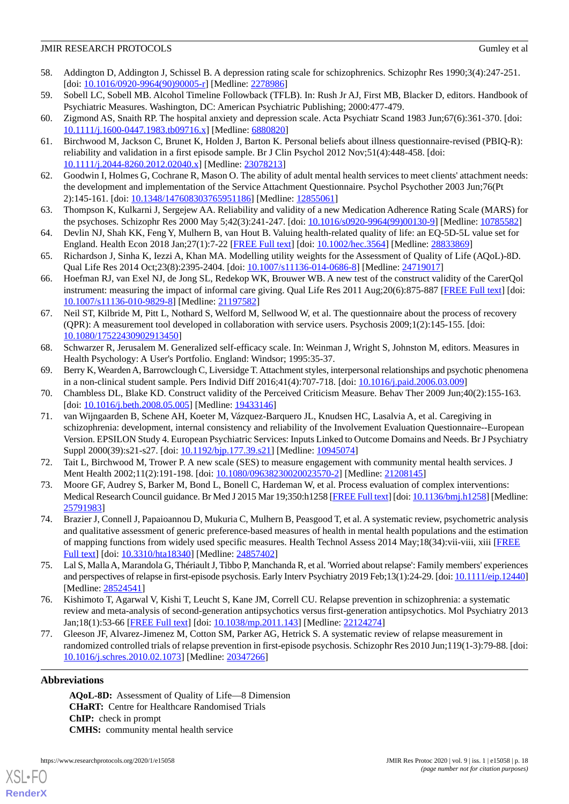- <span id="page-17-0"></span>58. Addington D, Addington J, Schissel B. A depression rating scale for schizophrenics. Schizophr Res 1990;3(4):247-251. [doi: [10.1016/0920-9964\(90\)90005-r\]](http://dx.doi.org/10.1016/0920-9964(90)90005-r) [Medline: [2278986\]](http://www.ncbi.nlm.nih.gov/entrez/query.fcgi?cmd=Retrieve&db=PubMed&list_uids=2278986&dopt=Abstract)
- <span id="page-17-2"></span><span id="page-17-1"></span>59. Sobell LC, Sobell MB. Alcohol Timeline Followback (TFLB). In: Rush Jr AJ, First MB, Blacker D, editors. Handbook of Psychiatric Measures. Washington, DC: American Psychiatric Publishing; 2000:477-479.
- <span id="page-17-3"></span>60. Zigmond AS, Snaith RP. The hospital anxiety and depression scale. Acta Psychiatr Scand 1983 Jun;67(6):361-370. [doi: [10.1111/j.1600-0447.1983.tb09716.x\]](http://dx.doi.org/10.1111/j.1600-0447.1983.tb09716.x) [Medline: [6880820](http://www.ncbi.nlm.nih.gov/entrez/query.fcgi?cmd=Retrieve&db=PubMed&list_uids=6880820&dopt=Abstract)]
- <span id="page-17-4"></span>61. Birchwood M, Jackson C, Brunet K, Holden J, Barton K. Personal beliefs about illness questionnaire-revised (PBIQ-R): reliability and validation in a first episode sample. Br J Clin Psychol 2012 Nov;51(4):448-458. [doi: [10.1111/j.2044-8260.2012.02040.x\]](http://dx.doi.org/10.1111/j.2044-8260.2012.02040.x) [Medline: [23078213\]](http://www.ncbi.nlm.nih.gov/entrez/query.fcgi?cmd=Retrieve&db=PubMed&list_uids=23078213&dopt=Abstract)
- <span id="page-17-5"></span>62. Goodwin I, Holmes G, Cochrane R, Mason O. The ability of adult mental health services to meet clients' attachment needs: the development and implementation of the Service Attachment Questionnaire. Psychol Psychother 2003 Jun;76(Pt 2):145-161. [doi: [10.1348/147608303765951186\]](http://dx.doi.org/10.1348/147608303765951186) [Medline: [12855061](http://www.ncbi.nlm.nih.gov/entrez/query.fcgi?cmd=Retrieve&db=PubMed&list_uids=12855061&dopt=Abstract)]
- <span id="page-17-6"></span>63. Thompson K, Kulkarni J, Sergejew AA. Reliability and validity of a new Medication Adherence Rating Scale (MARS) for the psychoses. Schizophr Res 2000 May 5;42(3):241-247. [doi: [10.1016/s0920-9964\(99\)00130-9](http://dx.doi.org/10.1016/s0920-9964(99)00130-9)] [Medline: [10785582\]](http://www.ncbi.nlm.nih.gov/entrez/query.fcgi?cmd=Retrieve&db=PubMed&list_uids=10785582&dopt=Abstract)
- <span id="page-17-7"></span>64. Devlin NJ, Shah KK, Feng Y, Mulhern B, van Hout B. Valuing health-related quality of life: an EQ-5D-5L value set for England. Health Econ 2018 Jan;27(1):7-22 [\[FREE Full text\]](http://europepmc.org/abstract/MED/28833869) [doi: [10.1002/hec.3564\]](http://dx.doi.org/10.1002/hec.3564) [Medline: [28833869](http://www.ncbi.nlm.nih.gov/entrez/query.fcgi?cmd=Retrieve&db=PubMed&list_uids=28833869&dopt=Abstract)]
- <span id="page-17-8"></span>65. Richardson J, Sinha K, Iezzi A, Khan MA. Modelling utility weights for the Assessment of Quality of Life (AQoL)-8D. Qual Life Res 2014 Oct;23(8):2395-2404. [doi: [10.1007/s11136-014-0686-8](http://dx.doi.org/10.1007/s11136-014-0686-8)] [Medline: [24719017\]](http://www.ncbi.nlm.nih.gov/entrez/query.fcgi?cmd=Retrieve&db=PubMed&list_uids=24719017&dopt=Abstract)
- <span id="page-17-9"></span>66. Hoefman RJ, van Exel NJ, de Jong SL, Redekop WK, Brouwer WB. A new test of the construct validity of the CarerQol instrument: measuring the impact of informal care giving. Qual Life Res 2011 Aug;20(6):875-887 [[FREE Full text\]](http://europepmc.org/abstract/MED/21197582) [doi: [10.1007/s11136-010-9829-8\]](http://dx.doi.org/10.1007/s11136-010-9829-8) [Medline: [21197582](http://www.ncbi.nlm.nih.gov/entrez/query.fcgi?cmd=Retrieve&db=PubMed&list_uids=21197582&dopt=Abstract)]
- <span id="page-17-10"></span>67. Neil ST, Kilbride M, Pitt L, Nothard S, Welford M, Sellwood W, et al. The questionnaire about the process of recovery (QPR): A measurement tool developed in collaboration with service users. Psychosis 2009;1(2):145-155. [doi: [10.1080/17522430902913450\]](http://dx.doi.org/10.1080/17522430902913450)
- <span id="page-17-12"></span><span id="page-17-11"></span>68. Schwarzer R, Jerusalem M. Generalized self-efficacy scale. In: Weinman J, Wright S, Johnston M, editors. Measures in Health Psychology: A User's Portfolio. England: Windsor; 1995:35-37.
- <span id="page-17-13"></span>69. Berry K, Wearden A, Barrowclough C, Liversidge T. Attachment styles, interpersonal relationships and psychotic phenomena in a non-clinical student sample. Pers Individ Diff 2016;41(4):707-718. [doi: [10.1016/j.paid.2006.03.009\]](http://dx.doi.org/10.1016/j.paid.2006.03.009)
- 70. Chambless DL, Blake KD. Construct validity of the Perceived Criticism Measure. Behav Ther 2009 Jun;40(2):155-163. [doi: [10.1016/j.beth.2008.05.005](http://dx.doi.org/10.1016/j.beth.2008.05.005)] [Medline: [19433146\]](http://www.ncbi.nlm.nih.gov/entrez/query.fcgi?cmd=Retrieve&db=PubMed&list_uids=19433146&dopt=Abstract)
- <span id="page-17-15"></span><span id="page-17-14"></span>71. van Wijngaarden B, Schene AH, Koeter M, Vázquez-Barquero JL, Knudsen HC, Lasalvia A, et al. Caregiving in schizophrenia: development, internal consistency and reliability of the Involvement Evaluation Questionnaire--European Version. EPSILON Study 4. European Psychiatric Services: Inputs Linked to Outcome Domains and Needs. Br J Psychiatry Suppl 2000(39):s21-s27. [doi: [10.1192/bjp.177.39.s21\]](http://dx.doi.org/10.1192/bjp.177.39.s21) [Medline: [10945074\]](http://www.ncbi.nlm.nih.gov/entrez/query.fcgi?cmd=Retrieve&db=PubMed&list_uids=10945074&dopt=Abstract)
- <span id="page-17-16"></span>72. Tait L, Birchwood M, Trower P. A new scale (SES) to measure engagement with community mental health services. J Ment Health 2002;11(2):191-198. [doi: [10.1080/09638230020023570-2\]](http://dx.doi.org/10.1080/09638230020023570-2) [Medline: [21208145\]](http://www.ncbi.nlm.nih.gov/entrez/query.fcgi?cmd=Retrieve&db=PubMed&list_uids=21208145&dopt=Abstract)
- 73. Moore GF, Audrey S, Barker M, Bond L, Bonell C, Hardeman W, et al. Process evaluation of complex interventions: Medical Research Council guidance. Br Med J 2015 Mar 19;350:h1258 [\[FREE Full text](http://www.bmj.com/cgi/pmidlookup?view=long&pmid=25791983)] [doi: [10.1136/bmj.h1258\]](http://dx.doi.org/10.1136/bmj.h1258) [Medline: [25791983](http://www.ncbi.nlm.nih.gov/entrez/query.fcgi?cmd=Retrieve&db=PubMed&list_uids=25791983&dopt=Abstract)]
- <span id="page-17-18"></span><span id="page-17-17"></span>74. Brazier J, Connell J, Papaioannou D, Mukuria C, Mulhern B, Peasgood T, et al. A systematic review, psychometric analysis and qualitative assessment of generic preference-based measures of health in mental health populations and the estimation of mapping functions from widely used specific measures. Health Technol Assess 2014 May;18(34):vii-viii, xiii [[FREE](https://doi.org/10.3310/hta18340) [Full text\]](https://doi.org/10.3310/hta18340) [doi: [10.3310/hta18340\]](http://dx.doi.org/10.3310/hta18340) [Medline: [24857402\]](http://www.ncbi.nlm.nih.gov/entrez/query.fcgi?cmd=Retrieve&db=PubMed&list_uids=24857402&dopt=Abstract)
- <span id="page-17-19"></span>75. Lal S, Malla A, Marandola G, Thériault J, Tibbo P, Manchanda R, et al. 'Worried about relapse': Family members' experiences and perspectives of relapse in first-episode psychosis. Early Interv Psychiatry 2019 Feb;13(1):24-29. [doi: [10.1111/eip.12440\]](http://dx.doi.org/10.1111/eip.12440) [Medline: [28524541](http://www.ncbi.nlm.nih.gov/entrez/query.fcgi?cmd=Retrieve&db=PubMed&list_uids=28524541&dopt=Abstract)]
- 76. Kishimoto T, Agarwal V, Kishi T, Leucht S, Kane JM, Correll CU. Relapse prevention in schizophrenia: a systematic review and meta-analysis of second-generation antipsychotics versus first-generation antipsychotics. Mol Psychiatry 2013 Jan;18(1):53-66 [\[FREE Full text\]](http://europepmc.org/abstract/MED/22124274) [doi: [10.1038/mp.2011.143\]](http://dx.doi.org/10.1038/mp.2011.143) [Medline: [22124274\]](http://www.ncbi.nlm.nih.gov/entrez/query.fcgi?cmd=Retrieve&db=PubMed&list_uids=22124274&dopt=Abstract)
- 77. Gleeson JF, Alvarez-Jimenez M, Cotton SM, Parker AG, Hetrick S. A systematic review of relapse measurement in randomized controlled trials of relapse prevention in first-episode psychosis. Schizophr Res 2010 Jun;119(1-3):79-88. [doi: [10.1016/j.schres.2010.02.1073\]](http://dx.doi.org/10.1016/j.schres.2010.02.1073) [Medline: [20347266](http://www.ncbi.nlm.nih.gov/entrez/query.fcgi?cmd=Retrieve&db=PubMed&list_uids=20347266&dopt=Abstract)]

# **Abbreviations**

[XSL](http://www.w3.org/Style/XSL)•FO **[RenderX](http://www.renderx.com/)**

**AQoL-8D:** Assessment of Quality of Life—8 Dimension **CHaRT:** Centre for Healthcare Randomised Trials **ChIP:** check in prompt **CMHS:** community mental health service